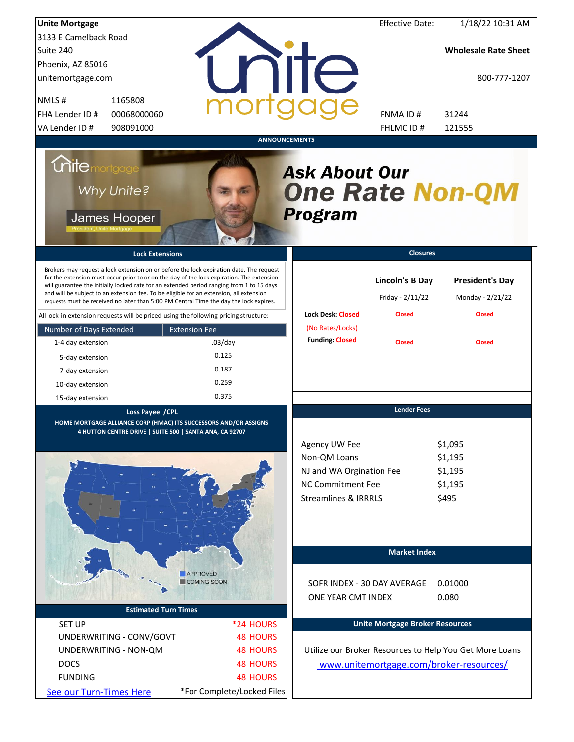| <b>Unite Mortgage</b>                                                                |                                                                                                                             |                                                                                                                                                                                                                                                                                                                                                                             |                                                                                                                          | <b>Effective Date:</b>                     | 1/18/22 10:31 AM                                        |
|--------------------------------------------------------------------------------------|-----------------------------------------------------------------------------------------------------------------------------|-----------------------------------------------------------------------------------------------------------------------------------------------------------------------------------------------------------------------------------------------------------------------------------------------------------------------------------------------------------------------------|--------------------------------------------------------------------------------------------------------------------------|--------------------------------------------|---------------------------------------------------------|
| 3133 E Camelback Road                                                                |                                                                                                                             |                                                                                                                                                                                                                                                                                                                                                                             |                                                                                                                          |                                            |                                                         |
| Suite 240                                                                            |                                                                                                                             |                                                                                                                                                                                                                                                                                                                                                                             |                                                                                                                          |                                            | <b>Wholesale Rate Sheet</b>                             |
| Phoenix, AZ 85016                                                                    |                                                                                                                             |                                                                                                                                                                                                                                                                                                                                                                             |                                                                                                                          |                                            |                                                         |
| unitemortgage.com                                                                    |                                                                                                                             |                                                                                                                                                                                                                                                                                                                                                                             | <b>TITE</b>                                                                                                              |                                            | 800-777-1207                                            |
| NMLS#                                                                                | 1165808                                                                                                                     |                                                                                                                                                                                                                                                                                                                                                                             |                                                                                                                          |                                            |                                                         |
| FHA Lender ID #                                                                      | 00068000060                                                                                                                 |                                                                                                                                                                                                                                                                                                                                                                             |                                                                                                                          | FNMA ID#                                   | 31244                                                   |
| VA Lender ID #                                                                       | 908091000                                                                                                                   |                                                                                                                                                                                                                                                                                                                                                                             |                                                                                                                          | FHLMC ID #                                 | 121555                                                  |
|                                                                                      |                                                                                                                             |                                                                                                                                                                                                                                                                                                                                                                             | <b>ANNOUNCEMENTS</b>                                                                                                     |                                            |                                                         |
| <i><b>Unitemortgage</b></i><br>Why Unite?<br>James Hooper                            |                                                                                                                             |                                                                                                                                                                                                                                                                                                                                                                             | <b>Ask About Our</b><br><b>One Rate Non-QM</b><br><b>Program</b>                                                         |                                            |                                                         |
|                                                                                      | <b>Lock Extensions</b>                                                                                                      |                                                                                                                                                                                                                                                                                                                                                                             |                                                                                                                          | <b>Closures</b>                            |                                                         |
|                                                                                      | and will be subject to an extension fee. To be eligible for an extension, all extension                                     | Brokers may request a lock extension on or before the lock expiration date. The request<br>for the extension must occur prior to or on the day of the lock expiration. The extension<br>will guarantee the initially locked rate for an extended period ranging from 1 to 15 days<br>requests must be received no later than 5:00 PM Central Time the day the lock expires. |                                                                                                                          | <b>Lincoln's B Day</b><br>Friday - 2/11/22 | <b>President's Day</b><br>Monday - 2/21/22              |
| All lock-in extension requests will be priced using the following pricing structure: |                                                                                                                             |                                                                                                                                                                                                                                                                                                                                                                             | <b>Lock Desk: Closed</b>                                                                                                 | <b>Closed</b>                              | <b>Closed</b>                                           |
| Number of Days Extended                                                              | <b>Extension Fee</b>                                                                                                        |                                                                                                                                                                                                                                                                                                                                                                             | (No Rates/Locks)                                                                                                         |                                            |                                                         |
| 1-4 day extension                                                                    |                                                                                                                             | $.03$ /day                                                                                                                                                                                                                                                                                                                                                                  | <b>Funding: Closed</b>                                                                                                   | <b>Closed</b>                              | <b>Closed</b>                                           |
| 5-day extension                                                                      |                                                                                                                             | 0.125                                                                                                                                                                                                                                                                                                                                                                       |                                                                                                                          |                                            |                                                         |
| 7-day extension                                                                      |                                                                                                                             | 0.187                                                                                                                                                                                                                                                                                                                                                                       |                                                                                                                          |                                            |                                                         |
| 10-day extension                                                                     |                                                                                                                             | 0.259                                                                                                                                                                                                                                                                                                                                                                       |                                                                                                                          |                                            |                                                         |
| 15-day extension                                                                     |                                                                                                                             | 0.375                                                                                                                                                                                                                                                                                                                                                                       |                                                                                                                          |                                            |                                                         |
|                                                                                      | Loss Payee /CPL                                                                                                             |                                                                                                                                                                                                                                                                                                                                                                             |                                                                                                                          | <b>Lender Fees</b>                         |                                                         |
|                                                                                      | HOME MORTGAGE ALLIANCE CORP (HMAC) ITS SUCCESSORS AND/OR ASSIGNS<br>4 HUTTON CENTRE DRIVE   SUITE 500   SANTA ANA, CA 92707 |                                                                                                                                                                                                                                                                                                                                                                             | Agency UW Fee<br>Non-QM Loans<br>NJ and WA Orgination Fee<br><b>NC Commitment Fee</b><br><b>Streamlines &amp; IRRRLS</b> |                                            | \$1,095<br>\$1,195<br>\$1,195<br>\$1,195<br>\$495       |
|                                                                                      |                                                                                                                             | <b>APPROVED</b><br><b>COMING SOON</b>                                                                                                                                                                                                                                                                                                                                       |                                                                                                                          | <b>Market Index</b>                        |                                                         |
|                                                                                      |                                                                                                                             |                                                                                                                                                                                                                                                                                                                                                                             | SOFR INDEX - 30 DAY AVERAGE                                                                                              |                                            | 0.01000                                                 |
|                                                                                      | <b>Estimated Turn Times</b>                                                                                                 |                                                                                                                                                                                                                                                                                                                                                                             | ONE YEAR CMT INDEX                                                                                                       |                                            | 0.080                                                   |
|                                                                                      |                                                                                                                             |                                                                                                                                                                                                                                                                                                                                                                             |                                                                                                                          | <b>Unite Mortgage Broker Resources</b>     |                                                         |
| <b>SET UP</b>                                                                        |                                                                                                                             | *24 HOURS                                                                                                                                                                                                                                                                                                                                                                   |                                                                                                                          |                                            |                                                         |
| UNDERWRITING - CONV/GOVT                                                             |                                                                                                                             | <b>48 HOURS</b>                                                                                                                                                                                                                                                                                                                                                             |                                                                                                                          |                                            |                                                         |
| UNDERWRITING - NON-QM                                                                |                                                                                                                             | <b>48 HOURS</b>                                                                                                                                                                                                                                                                                                                                                             |                                                                                                                          |                                            | Utilize our Broker Resources to Help You Get More Loans |
| <b>DOCS</b>                                                                          |                                                                                                                             | <b>48 HOURS</b>                                                                                                                                                                                                                                                                                                                                                             |                                                                                                                          |                                            | www.unitemortgage.com/broker-resources/                 |
| <b>FUNDING</b>                                                                       |                                                                                                                             | <b>48 HOURS</b>                                                                                                                                                                                                                                                                                                                                                             |                                                                                                                          |                                            |                                                         |
| See our Turn-Times Here                                                              |                                                                                                                             | *For Complete/Locked Files                                                                                                                                                                                                                                                                                                                                                  |                                                                                                                          |                                            |                                                         |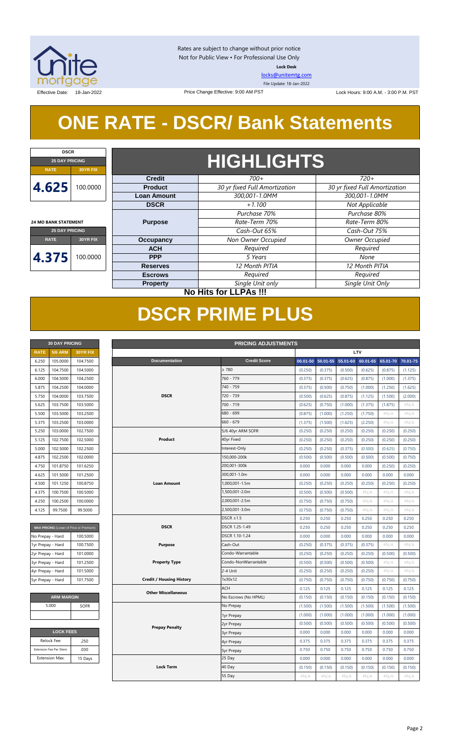

Rates are subject to change without prior notice Not for Public View • For Professional Use Only **Lock Desk**

[locks@unitemtg.com](mailto:locks@unitemtg.com) File Update: 18-Jan-2022

Effective Date: 18-Jan-2022 **Lock Hours: 9:00 A.M. - 3:00 P.M. PST** Lock Hours: 9:00 A.M. - 3:00 P.M. PST

# **ONE RATE - DSCR/ Bank Statements**

Price Change Effective: 9:00 AM PST



## **25 DAY PRICING RATE 30YR FIX 4.375** 100.0000

|                    | <b>HIGHLIGHTS</b>             |                               |  |  |  |
|--------------------|-------------------------------|-------------------------------|--|--|--|
| <b>Credit</b>      | $700+$                        | $720+$                        |  |  |  |
| <b>Product</b>     | 30 yr fixed Full Amortization | 30 yr fixed Full Amortization |  |  |  |
| <b>Loan Amount</b> | 300,001-1.0MM                 | 300,001-1.0MM                 |  |  |  |
| <b>DSCR</b>        | $+1.100$                      | Not Applicable                |  |  |  |
|                    | Purchase 70%                  | Purchase 80%                  |  |  |  |
| <b>Purpose</b>     | Rate-Term 70%                 | Rate-Term 80%                 |  |  |  |
|                    | Cash-Out 65%                  | Cash-Out 75%                  |  |  |  |
| <b>Occupancy</b>   | Non Owner Occupied            | Owner Occupied                |  |  |  |
| <b>ACH</b>         | Required                      | Required                      |  |  |  |
| <b>PPP</b>         | 5 Years                       | None                          |  |  |  |
| <b>Reserves</b>    | 12 Month PITIA                | 12 Month PITIA                |  |  |  |
| <b>Escrows</b>     | Required                      | Required                      |  |  |  |
| <b>Property</b>    | Single Unit only              | Single Unit Only              |  |  |  |

**No Hits for LLPAs !!!**

# **DSCR PRIME PLUS**

| <b>30 DAY PRICING</b> |                |                 |  |  |  |  |
|-----------------------|----------------|-----------------|--|--|--|--|
| <b>RATE</b>           | <b>5/6 ARM</b> | <b>30YR FIX</b> |  |  |  |  |
| 6.250                 | 105.0000       | 104.7500        |  |  |  |  |
| 6.125                 | 104.7500       | 104.5000        |  |  |  |  |
| 6.000                 | 104.5000       | 104.2500        |  |  |  |  |
| 5.875                 | 104.2500       | 104.0000        |  |  |  |  |
| 5.750                 | 104.0000       | 103.7500        |  |  |  |  |
| 5.625                 | 103.7500       | 103.5000        |  |  |  |  |
| 5.500                 | 103.5000       | 103.2500        |  |  |  |  |
| 5.375                 | 103.2500       | 103.0000        |  |  |  |  |
| 5.250                 | 103.0000       | 102.7500        |  |  |  |  |
| 5.125                 | 102.7500       | 102,5000        |  |  |  |  |
| 5.000                 | 102.5000       | 102.2500        |  |  |  |  |
| 4.875                 | 102.2500       | 102,0000        |  |  |  |  |
| 4.750                 | 101.8750       | 101.6250        |  |  |  |  |
| 4.625                 | 101.5000       | 101.2500        |  |  |  |  |
| 4.500                 | 101.1250       | 100.8750        |  |  |  |  |
| 4.375                 | 100.7500       | 100.5000        |  |  |  |  |
| 4.250                 | 100.2500       | 100.0000        |  |  |  |  |
| 4.125                 | 99.7500        | 99.5000         |  |  |  |  |

| MAX PRICING (Lower of Price or Premium) |          |  |  |  |  |  |  |
|-----------------------------------------|----------|--|--|--|--|--|--|
| No Prepay - Hard                        | 100.5000 |  |  |  |  |  |  |
| 1yr Prepay - Hard                       | 100.7500 |  |  |  |  |  |  |
| 2yr Prepay - Hard                       | 101.0000 |  |  |  |  |  |  |
| 3yr Prepay - Hard                       | 101.2500 |  |  |  |  |  |  |
| 4yr Prepay - Hard                       | 101.5000 |  |  |  |  |  |  |
| 5yr Prepay - Hard                       | 101.7500 |  |  |  |  |  |  |

| <b>ARM MARGIN</b> |             |
|-------------------|-------------|
| 5.000             | <b>SOFR</b> |
|                   |             |

| <b>LOCK FEES</b>        |         |  |  |  |  |  |
|-------------------------|---------|--|--|--|--|--|
| Relock Fee:             | .250    |  |  |  |  |  |
| Extension Fee Per Diem: | .030    |  |  |  |  |  |
| <b>Extension Max:</b>   | 15 Days |  |  |  |  |  |

| LTV<br><b>5/6 ARM</b><br><b>RATE</b><br>30YR FIX<br>105.0000<br><b>Documentation</b><br><b>Credit Score</b><br>104.7500<br>$00.01 - 50$<br>50.01-55<br>55.01-60<br>60.01-65<br>65.01-70<br>6.250<br>104.7500<br>$\geq 780$<br>6.125<br>104.5000<br>(0.250)<br>(0.375)<br>(0.500)<br>(0.625)<br>(0.875)<br>(1.125)<br>760 - 779<br>104.5000<br>6.000<br>104.2500<br>(0.375)<br>(0.375)<br>(0.625)<br>(0.875)<br>(1.000)<br>(1.375)<br>740 - 759<br>5.875<br>104.2500<br>104.0000<br>(0.375)<br>(0.500)<br>(0.750)<br>(1.000)<br>(1.250)<br>(1.625)<br>103.7500<br><b>DSCR</b><br>720 - 739<br>5.750<br>104.0000<br>(0.500)<br>(0.625)<br>(0.875)<br>(1.125)<br>(1.500)<br>(2.000)<br>103.7500<br>103.5000<br>700 - 719<br>(1.000)<br>#N/A<br>5.625<br>(0.625)<br>(0.750)<br>(1.375)<br>(1.875)<br>680 - 699<br>5.500<br>103.5000<br>103.2500<br>(0.875)<br>(1.000)<br>(1.250)<br>(1.750)<br>$\#N/A$<br>#N/A<br>660 - 679<br>5.375<br>103.2500<br>103.0000<br>#N/A<br>#N/A<br>(1.375)<br>(1.500)<br>(1.625)<br>(2.250)<br>5.250<br>103.0000<br>102.7500<br>5/6 40yr ARM SOFR<br>(0.250)<br>(0.250)<br>(0.250)<br>(0.250)<br>(0.250)<br>(0.250)<br>Product<br>40yr Fixed<br>5.125<br>102.7500<br>102.5000<br>(0.250)<br>(0.250)<br>(0.250)<br>(0.250)<br>(0.250)<br>(0.250)<br>5.000<br>102.5000<br>102.2500<br>Interest-Only<br>(0.250)<br>(0.250)<br>(0.375)<br>(0.500)<br>(0.625)<br>(0.750)<br>150,000-200k<br>4.875<br>102.2500<br>102.0000<br>(0.500)<br>(0.500)<br>(0.500)<br>(0.500)<br>(0.500)<br>(0.750)<br>200,001-300k<br>4.750<br>101.8750<br>101.6250<br>0.000<br>0.000<br>0.000<br>0.000<br>(0.250)<br>(0.250)<br>4.625<br>101.5000<br>101.2500<br>300,001-1.0m<br>0.000<br>0.000<br>0.000<br>0.000<br>0.000<br>0.000<br>101.1250<br>100.8750<br><b>Loan Amount</b><br>1,000,001-1.5m<br>(0.250)<br>(0.250)<br>4.500<br>(0.250)<br>(0.250)<br>(0.250)<br>(0.250)<br>1,500,001-2.0m<br>4.375<br>100.7500<br>100.5000<br>(0.500)<br>(0.500)<br>(0.500)<br>#N/A<br>#N/A<br>#N/A<br>100.2500<br>100.0000<br>2,000,001-2.5m<br>4.250<br>(0.750)<br>(0.750)<br>(0.750)<br>#N/A<br>#N/A<br>#N/A<br>99.7500<br>99.5000<br>2,500,001-3.0m<br>4.125<br>(0.750)<br>(0.750)<br>(0.750)<br>$\#N/A$<br>#N/A<br>#N/A<br>DSCR $\geq$ 1.5<br>0.250<br>0.250<br>0.250<br>0.250<br>0.250<br>0.250<br><b>DSCR</b><br>0.250<br>DSCR 1.25-1.49<br>0.250<br>0.250<br>0.250<br>0.250<br>0.250<br>MAX PRICING (Lower of Price or Premium)<br>DSCR 1.10-1.24<br>0.000<br>0.000<br>0.000<br>0.000<br>0.000<br>0.000<br>100.5000<br>100.7500<br><b>Purpose</b><br>Cash-Out<br>(0.250)<br>$\#N/A$<br>#N/A<br>(0.375)<br>(0.375)<br>(0.375)<br>101.0000<br>Condo-Warrantable<br>(0.250)<br>(0.250)<br>(0.250)<br>(0.250)<br>(0.500)<br>(0.500)<br>101.2500<br><b>Property Type</b><br>Condo-NonWarrantable<br>(0.500)<br>(0.500)<br>(0.500)<br>(0.500)<br>#N/A<br>#N/A<br>2-4 Unit<br>101.5000<br>(0.250)<br>(0.250)<br>(0.250)<br>(0.250)<br>#N/A<br>#N/A<br>1x30x12<br>101.7500<br><b>Credit / Housing History</b><br>(0.750)<br>(0.750)<br>(0.750)<br>(0.750)<br>(0.750)<br>(0.750)<br>ACH<br>0.125<br>0.125<br>0.125<br>0.125<br>0.125<br>0.125<br><b>Other Miscellaneous</b><br><b>ARM MARGIN</b><br>No Escrows (No HPML)<br>(0.150)<br>(0.150)<br>(0.150)<br>(0.150)<br>(0.150)<br>(0.150)<br>5.000<br>No Prepay<br><b>SOFR</b><br>(1.500)<br>(1.500)<br>(1.500)<br>(1.500)<br>(1.500)<br>(1.500)<br>(1.000)<br>(1.000)<br>(1.000)<br>(1.000)<br>(1.000)<br>(1.000)<br>1yr Prepay<br>(0.500)<br>(0.500)<br>(0.500)<br>(0.500)<br>(0.500)<br>(0.500)<br>2yr Prepay<br><b>Prepay Penalty</b><br><b>LOCK FEES</b><br>0.000<br>0.000<br>0.000<br>0.000<br>0.000<br>0.000<br><b>3yr Prepay</b><br>Relock Fee:<br>.250<br>0.375<br>0.375<br>0.375<br>0.375<br>0.375<br>0.375<br>4yr Prepay<br>Extension Fee Per Diem:<br>.030<br>0.750<br>0.750<br>0.750<br>0.750<br>0.750<br>0.750<br><b>5yr Prepay</b><br><b>Extension Max:</b><br>25 Day<br>15 Days<br>0.000<br>0.000<br>0.000<br>0.000<br>0.000<br>0.000<br><b>Lock Term</b><br>40 Day<br>(0.150)<br>(0.150)<br>(0.150)<br>(0.150)<br>(0.150)<br>(0.150)<br>55 Day<br>#N/A<br>#N/A<br>#N/A<br>$\#N/A$<br>$\#N/A$<br>$\#N/A$ | <b>30 DAY PRICING</b><br><b>PRICING ADJUSTMENTS</b> |  |  |  |  |  |  |  |  |  |          |
|---------------------------------------------------------------------------------------------------------------------------------------------------------------------------------------------------------------------------------------------------------------------------------------------------------------------------------------------------------------------------------------------------------------------------------------------------------------------------------------------------------------------------------------------------------------------------------------------------------------------------------------------------------------------------------------------------------------------------------------------------------------------------------------------------------------------------------------------------------------------------------------------------------------------------------------------------------------------------------------------------------------------------------------------------------------------------------------------------------------------------------------------------------------------------------------------------------------------------------------------------------------------------------------------------------------------------------------------------------------------------------------------------------------------------------------------------------------------------------------------------------------------------------------------------------------------------------------------------------------------------------------------------------------------------------------------------------------------------------------------------------------------------------------------------------------------------------------------------------------------------------------------------------------------------------------------------------------------------------------------------------------------------------------------------------------------------------------------------------------------------------------------------------------------------------------------------------------------------------------------------------------------------------------------------------------------------------------------------------------------------------------------------------------------------------------------------------------------------------------------------------------------------------------------------------------------------------------------------------------------------------------------------------------------------------------------------------------------------------------------------------------------------------------------------------------------------------------------------------------------------------------------------------------------------------------------------------------------------------------------------------------------------------------------------------------------------------------------------------------------------------------------------------------------------------------------------------------------------------------------------------------------------------------------------------------------------------------------------------------------------------------------------------------------------------------------------------------------------------------------------------------------------------------------------------------------------------------------------------------------------------------------------------------------------------------------------------------------------------------------------------------------------------------------------------------------------------------------------------------------------------------------------------------------------------------------------------------------------------------------------------------------------------------------------------------------------------------------------------------------------------------------------------------|-----------------------------------------------------|--|--|--|--|--|--|--|--|--|----------|
|                                                                                                                                                                                                                                                                                                                                                                                                                                                                                                                                                                                                                                                                                                                                                                                                                                                                                                                                                                                                                                                                                                                                                                                                                                                                                                                                                                                                                                                                                                                                                                                                                                                                                                                                                                                                                                                                                                                                                                                                                                                                                                                                                                                                                                                                                                                                                                                                                                                                                                                                                                                                                                                                                                                                                                                                                                                                                                                                                                                                                                                                                                                                                                                                                                                                                                                                                                                                                                                                                                                                                                                                                                                                                                                                                                                                                                                                                                                                                                                                                                                                                                                                                               |                                                     |  |  |  |  |  |  |  |  |  |          |
|                                                                                                                                                                                                                                                                                                                                                                                                                                                                                                                                                                                                                                                                                                                                                                                                                                                                                                                                                                                                                                                                                                                                                                                                                                                                                                                                                                                                                                                                                                                                                                                                                                                                                                                                                                                                                                                                                                                                                                                                                                                                                                                                                                                                                                                                                                                                                                                                                                                                                                                                                                                                                                                                                                                                                                                                                                                                                                                                                                                                                                                                                                                                                                                                                                                                                                                                                                                                                                                                                                                                                                                                                                                                                                                                                                                                                                                                                                                                                                                                                                                                                                                                                               |                                                     |  |  |  |  |  |  |  |  |  | 70.01-75 |
|                                                                                                                                                                                                                                                                                                                                                                                                                                                                                                                                                                                                                                                                                                                                                                                                                                                                                                                                                                                                                                                                                                                                                                                                                                                                                                                                                                                                                                                                                                                                                                                                                                                                                                                                                                                                                                                                                                                                                                                                                                                                                                                                                                                                                                                                                                                                                                                                                                                                                                                                                                                                                                                                                                                                                                                                                                                                                                                                                                                                                                                                                                                                                                                                                                                                                                                                                                                                                                                                                                                                                                                                                                                                                                                                                                                                                                                                                                                                                                                                                                                                                                                                                               |                                                     |  |  |  |  |  |  |  |  |  |          |
|                                                                                                                                                                                                                                                                                                                                                                                                                                                                                                                                                                                                                                                                                                                                                                                                                                                                                                                                                                                                                                                                                                                                                                                                                                                                                                                                                                                                                                                                                                                                                                                                                                                                                                                                                                                                                                                                                                                                                                                                                                                                                                                                                                                                                                                                                                                                                                                                                                                                                                                                                                                                                                                                                                                                                                                                                                                                                                                                                                                                                                                                                                                                                                                                                                                                                                                                                                                                                                                                                                                                                                                                                                                                                                                                                                                                                                                                                                                                                                                                                                                                                                                                                               |                                                     |  |  |  |  |  |  |  |  |  |          |
|                                                                                                                                                                                                                                                                                                                                                                                                                                                                                                                                                                                                                                                                                                                                                                                                                                                                                                                                                                                                                                                                                                                                                                                                                                                                                                                                                                                                                                                                                                                                                                                                                                                                                                                                                                                                                                                                                                                                                                                                                                                                                                                                                                                                                                                                                                                                                                                                                                                                                                                                                                                                                                                                                                                                                                                                                                                                                                                                                                                                                                                                                                                                                                                                                                                                                                                                                                                                                                                                                                                                                                                                                                                                                                                                                                                                                                                                                                                                                                                                                                                                                                                                                               |                                                     |  |  |  |  |  |  |  |  |  |          |
|                                                                                                                                                                                                                                                                                                                                                                                                                                                                                                                                                                                                                                                                                                                                                                                                                                                                                                                                                                                                                                                                                                                                                                                                                                                                                                                                                                                                                                                                                                                                                                                                                                                                                                                                                                                                                                                                                                                                                                                                                                                                                                                                                                                                                                                                                                                                                                                                                                                                                                                                                                                                                                                                                                                                                                                                                                                                                                                                                                                                                                                                                                                                                                                                                                                                                                                                                                                                                                                                                                                                                                                                                                                                                                                                                                                                                                                                                                                                                                                                                                                                                                                                                               |                                                     |  |  |  |  |  |  |  |  |  |          |
|                                                                                                                                                                                                                                                                                                                                                                                                                                                                                                                                                                                                                                                                                                                                                                                                                                                                                                                                                                                                                                                                                                                                                                                                                                                                                                                                                                                                                                                                                                                                                                                                                                                                                                                                                                                                                                                                                                                                                                                                                                                                                                                                                                                                                                                                                                                                                                                                                                                                                                                                                                                                                                                                                                                                                                                                                                                                                                                                                                                                                                                                                                                                                                                                                                                                                                                                                                                                                                                                                                                                                                                                                                                                                                                                                                                                                                                                                                                                                                                                                                                                                                                                                               |                                                     |  |  |  |  |  |  |  |  |  |          |
| No Prepay - Hard<br>1yr Prepay - Hard<br>2yr Prepay - Hard<br>3yr Prepay - Hard<br>4yr Prepay - Hard<br>5yr Prepay - Hard                                                                                                                                                                                                                                                                                                                                                                                                                                                                                                                                                                                                                                                                                                                                                                                                                                                                                                                                                                                                                                                                                                                                                                                                                                                                                                                                                                                                                                                                                                                                                                                                                                                                                                                                                                                                                                                                                                                                                                                                                                                                                                                                                                                                                                                                                                                                                                                                                                                                                                                                                                                                                                                                                                                                                                                                                                                                                                                                                                                                                                                                                                                                                                                                                                                                                                                                                                                                                                                                                                                                                                                                                                                                                                                                                                                                                                                                                                                                                                                                                                     |                                                     |  |  |  |  |  |  |  |  |  |          |
|                                                                                                                                                                                                                                                                                                                                                                                                                                                                                                                                                                                                                                                                                                                                                                                                                                                                                                                                                                                                                                                                                                                                                                                                                                                                                                                                                                                                                                                                                                                                                                                                                                                                                                                                                                                                                                                                                                                                                                                                                                                                                                                                                                                                                                                                                                                                                                                                                                                                                                                                                                                                                                                                                                                                                                                                                                                                                                                                                                                                                                                                                                                                                                                                                                                                                                                                                                                                                                                                                                                                                                                                                                                                                                                                                                                                                                                                                                                                                                                                                                                                                                                                                               |                                                     |  |  |  |  |  |  |  |  |  |          |
|                                                                                                                                                                                                                                                                                                                                                                                                                                                                                                                                                                                                                                                                                                                                                                                                                                                                                                                                                                                                                                                                                                                                                                                                                                                                                                                                                                                                                                                                                                                                                                                                                                                                                                                                                                                                                                                                                                                                                                                                                                                                                                                                                                                                                                                                                                                                                                                                                                                                                                                                                                                                                                                                                                                                                                                                                                                                                                                                                                                                                                                                                                                                                                                                                                                                                                                                                                                                                                                                                                                                                                                                                                                                                                                                                                                                                                                                                                                                                                                                                                                                                                                                                               |                                                     |  |  |  |  |  |  |  |  |  |          |
|                                                                                                                                                                                                                                                                                                                                                                                                                                                                                                                                                                                                                                                                                                                                                                                                                                                                                                                                                                                                                                                                                                                                                                                                                                                                                                                                                                                                                                                                                                                                                                                                                                                                                                                                                                                                                                                                                                                                                                                                                                                                                                                                                                                                                                                                                                                                                                                                                                                                                                                                                                                                                                                                                                                                                                                                                                                                                                                                                                                                                                                                                                                                                                                                                                                                                                                                                                                                                                                                                                                                                                                                                                                                                                                                                                                                                                                                                                                                                                                                                                                                                                                                                               |                                                     |  |  |  |  |  |  |  |  |  |          |
|                                                                                                                                                                                                                                                                                                                                                                                                                                                                                                                                                                                                                                                                                                                                                                                                                                                                                                                                                                                                                                                                                                                                                                                                                                                                                                                                                                                                                                                                                                                                                                                                                                                                                                                                                                                                                                                                                                                                                                                                                                                                                                                                                                                                                                                                                                                                                                                                                                                                                                                                                                                                                                                                                                                                                                                                                                                                                                                                                                                                                                                                                                                                                                                                                                                                                                                                                                                                                                                                                                                                                                                                                                                                                                                                                                                                                                                                                                                                                                                                                                                                                                                                                               |                                                     |  |  |  |  |  |  |  |  |  |          |
|                                                                                                                                                                                                                                                                                                                                                                                                                                                                                                                                                                                                                                                                                                                                                                                                                                                                                                                                                                                                                                                                                                                                                                                                                                                                                                                                                                                                                                                                                                                                                                                                                                                                                                                                                                                                                                                                                                                                                                                                                                                                                                                                                                                                                                                                                                                                                                                                                                                                                                                                                                                                                                                                                                                                                                                                                                                                                                                                                                                                                                                                                                                                                                                                                                                                                                                                                                                                                                                                                                                                                                                                                                                                                                                                                                                                                                                                                                                                                                                                                                                                                                                                                               |                                                     |  |  |  |  |  |  |  |  |  |          |
|                                                                                                                                                                                                                                                                                                                                                                                                                                                                                                                                                                                                                                                                                                                                                                                                                                                                                                                                                                                                                                                                                                                                                                                                                                                                                                                                                                                                                                                                                                                                                                                                                                                                                                                                                                                                                                                                                                                                                                                                                                                                                                                                                                                                                                                                                                                                                                                                                                                                                                                                                                                                                                                                                                                                                                                                                                                                                                                                                                                                                                                                                                                                                                                                                                                                                                                                                                                                                                                                                                                                                                                                                                                                                                                                                                                                                                                                                                                                                                                                                                                                                                                                                               |                                                     |  |  |  |  |  |  |  |  |  |          |
|                                                                                                                                                                                                                                                                                                                                                                                                                                                                                                                                                                                                                                                                                                                                                                                                                                                                                                                                                                                                                                                                                                                                                                                                                                                                                                                                                                                                                                                                                                                                                                                                                                                                                                                                                                                                                                                                                                                                                                                                                                                                                                                                                                                                                                                                                                                                                                                                                                                                                                                                                                                                                                                                                                                                                                                                                                                                                                                                                                                                                                                                                                                                                                                                                                                                                                                                                                                                                                                                                                                                                                                                                                                                                                                                                                                                                                                                                                                                                                                                                                                                                                                                                               |                                                     |  |  |  |  |  |  |  |  |  |          |
|                                                                                                                                                                                                                                                                                                                                                                                                                                                                                                                                                                                                                                                                                                                                                                                                                                                                                                                                                                                                                                                                                                                                                                                                                                                                                                                                                                                                                                                                                                                                                                                                                                                                                                                                                                                                                                                                                                                                                                                                                                                                                                                                                                                                                                                                                                                                                                                                                                                                                                                                                                                                                                                                                                                                                                                                                                                                                                                                                                                                                                                                                                                                                                                                                                                                                                                                                                                                                                                                                                                                                                                                                                                                                                                                                                                                                                                                                                                                                                                                                                                                                                                                                               |                                                     |  |  |  |  |  |  |  |  |  |          |
|                                                                                                                                                                                                                                                                                                                                                                                                                                                                                                                                                                                                                                                                                                                                                                                                                                                                                                                                                                                                                                                                                                                                                                                                                                                                                                                                                                                                                                                                                                                                                                                                                                                                                                                                                                                                                                                                                                                                                                                                                                                                                                                                                                                                                                                                                                                                                                                                                                                                                                                                                                                                                                                                                                                                                                                                                                                                                                                                                                                                                                                                                                                                                                                                                                                                                                                                                                                                                                                                                                                                                                                                                                                                                                                                                                                                                                                                                                                                                                                                                                                                                                                                                               |                                                     |  |  |  |  |  |  |  |  |  |          |
|                                                                                                                                                                                                                                                                                                                                                                                                                                                                                                                                                                                                                                                                                                                                                                                                                                                                                                                                                                                                                                                                                                                                                                                                                                                                                                                                                                                                                                                                                                                                                                                                                                                                                                                                                                                                                                                                                                                                                                                                                                                                                                                                                                                                                                                                                                                                                                                                                                                                                                                                                                                                                                                                                                                                                                                                                                                                                                                                                                                                                                                                                                                                                                                                                                                                                                                                                                                                                                                                                                                                                                                                                                                                                                                                                                                                                                                                                                                                                                                                                                                                                                                                                               |                                                     |  |  |  |  |  |  |  |  |  |          |
|                                                                                                                                                                                                                                                                                                                                                                                                                                                                                                                                                                                                                                                                                                                                                                                                                                                                                                                                                                                                                                                                                                                                                                                                                                                                                                                                                                                                                                                                                                                                                                                                                                                                                                                                                                                                                                                                                                                                                                                                                                                                                                                                                                                                                                                                                                                                                                                                                                                                                                                                                                                                                                                                                                                                                                                                                                                                                                                                                                                                                                                                                                                                                                                                                                                                                                                                                                                                                                                                                                                                                                                                                                                                                                                                                                                                                                                                                                                                                                                                                                                                                                                                                               |                                                     |  |  |  |  |  |  |  |  |  |          |
|                                                                                                                                                                                                                                                                                                                                                                                                                                                                                                                                                                                                                                                                                                                                                                                                                                                                                                                                                                                                                                                                                                                                                                                                                                                                                                                                                                                                                                                                                                                                                                                                                                                                                                                                                                                                                                                                                                                                                                                                                                                                                                                                                                                                                                                                                                                                                                                                                                                                                                                                                                                                                                                                                                                                                                                                                                                                                                                                                                                                                                                                                                                                                                                                                                                                                                                                                                                                                                                                                                                                                                                                                                                                                                                                                                                                                                                                                                                                                                                                                                                                                                                                                               |                                                     |  |  |  |  |  |  |  |  |  |          |
|                                                                                                                                                                                                                                                                                                                                                                                                                                                                                                                                                                                                                                                                                                                                                                                                                                                                                                                                                                                                                                                                                                                                                                                                                                                                                                                                                                                                                                                                                                                                                                                                                                                                                                                                                                                                                                                                                                                                                                                                                                                                                                                                                                                                                                                                                                                                                                                                                                                                                                                                                                                                                                                                                                                                                                                                                                                                                                                                                                                                                                                                                                                                                                                                                                                                                                                                                                                                                                                                                                                                                                                                                                                                                                                                                                                                                                                                                                                                                                                                                                                                                                                                                               |                                                     |  |  |  |  |  |  |  |  |  |          |
|                                                                                                                                                                                                                                                                                                                                                                                                                                                                                                                                                                                                                                                                                                                                                                                                                                                                                                                                                                                                                                                                                                                                                                                                                                                                                                                                                                                                                                                                                                                                                                                                                                                                                                                                                                                                                                                                                                                                                                                                                                                                                                                                                                                                                                                                                                                                                                                                                                                                                                                                                                                                                                                                                                                                                                                                                                                                                                                                                                                                                                                                                                                                                                                                                                                                                                                                                                                                                                                                                                                                                                                                                                                                                                                                                                                                                                                                                                                                                                                                                                                                                                                                                               |                                                     |  |  |  |  |  |  |  |  |  |          |
|                                                                                                                                                                                                                                                                                                                                                                                                                                                                                                                                                                                                                                                                                                                                                                                                                                                                                                                                                                                                                                                                                                                                                                                                                                                                                                                                                                                                                                                                                                                                                                                                                                                                                                                                                                                                                                                                                                                                                                                                                                                                                                                                                                                                                                                                                                                                                                                                                                                                                                                                                                                                                                                                                                                                                                                                                                                                                                                                                                                                                                                                                                                                                                                                                                                                                                                                                                                                                                                                                                                                                                                                                                                                                                                                                                                                                                                                                                                                                                                                                                                                                                                                                               |                                                     |  |  |  |  |  |  |  |  |  |          |
|                                                                                                                                                                                                                                                                                                                                                                                                                                                                                                                                                                                                                                                                                                                                                                                                                                                                                                                                                                                                                                                                                                                                                                                                                                                                                                                                                                                                                                                                                                                                                                                                                                                                                                                                                                                                                                                                                                                                                                                                                                                                                                                                                                                                                                                                                                                                                                                                                                                                                                                                                                                                                                                                                                                                                                                                                                                                                                                                                                                                                                                                                                                                                                                                                                                                                                                                                                                                                                                                                                                                                                                                                                                                                                                                                                                                                                                                                                                                                                                                                                                                                                                                                               |                                                     |  |  |  |  |  |  |  |  |  |          |
|                                                                                                                                                                                                                                                                                                                                                                                                                                                                                                                                                                                                                                                                                                                                                                                                                                                                                                                                                                                                                                                                                                                                                                                                                                                                                                                                                                                                                                                                                                                                                                                                                                                                                                                                                                                                                                                                                                                                                                                                                                                                                                                                                                                                                                                                                                                                                                                                                                                                                                                                                                                                                                                                                                                                                                                                                                                                                                                                                                                                                                                                                                                                                                                                                                                                                                                                                                                                                                                                                                                                                                                                                                                                                                                                                                                                                                                                                                                                                                                                                                                                                                                                                               |                                                     |  |  |  |  |  |  |  |  |  |          |
|                                                                                                                                                                                                                                                                                                                                                                                                                                                                                                                                                                                                                                                                                                                                                                                                                                                                                                                                                                                                                                                                                                                                                                                                                                                                                                                                                                                                                                                                                                                                                                                                                                                                                                                                                                                                                                                                                                                                                                                                                                                                                                                                                                                                                                                                                                                                                                                                                                                                                                                                                                                                                                                                                                                                                                                                                                                                                                                                                                                                                                                                                                                                                                                                                                                                                                                                                                                                                                                                                                                                                                                                                                                                                                                                                                                                                                                                                                                                                                                                                                                                                                                                                               |                                                     |  |  |  |  |  |  |  |  |  |          |
|                                                                                                                                                                                                                                                                                                                                                                                                                                                                                                                                                                                                                                                                                                                                                                                                                                                                                                                                                                                                                                                                                                                                                                                                                                                                                                                                                                                                                                                                                                                                                                                                                                                                                                                                                                                                                                                                                                                                                                                                                                                                                                                                                                                                                                                                                                                                                                                                                                                                                                                                                                                                                                                                                                                                                                                                                                                                                                                                                                                                                                                                                                                                                                                                                                                                                                                                                                                                                                                                                                                                                                                                                                                                                                                                                                                                                                                                                                                                                                                                                                                                                                                                                               |                                                     |  |  |  |  |  |  |  |  |  |          |
|                                                                                                                                                                                                                                                                                                                                                                                                                                                                                                                                                                                                                                                                                                                                                                                                                                                                                                                                                                                                                                                                                                                                                                                                                                                                                                                                                                                                                                                                                                                                                                                                                                                                                                                                                                                                                                                                                                                                                                                                                                                                                                                                                                                                                                                                                                                                                                                                                                                                                                                                                                                                                                                                                                                                                                                                                                                                                                                                                                                                                                                                                                                                                                                                                                                                                                                                                                                                                                                                                                                                                                                                                                                                                                                                                                                                                                                                                                                                                                                                                                                                                                                                                               |                                                     |  |  |  |  |  |  |  |  |  |          |
|                                                                                                                                                                                                                                                                                                                                                                                                                                                                                                                                                                                                                                                                                                                                                                                                                                                                                                                                                                                                                                                                                                                                                                                                                                                                                                                                                                                                                                                                                                                                                                                                                                                                                                                                                                                                                                                                                                                                                                                                                                                                                                                                                                                                                                                                                                                                                                                                                                                                                                                                                                                                                                                                                                                                                                                                                                                                                                                                                                                                                                                                                                                                                                                                                                                                                                                                                                                                                                                                                                                                                                                                                                                                                                                                                                                                                                                                                                                                                                                                                                                                                                                                                               |                                                     |  |  |  |  |  |  |  |  |  |          |
|                                                                                                                                                                                                                                                                                                                                                                                                                                                                                                                                                                                                                                                                                                                                                                                                                                                                                                                                                                                                                                                                                                                                                                                                                                                                                                                                                                                                                                                                                                                                                                                                                                                                                                                                                                                                                                                                                                                                                                                                                                                                                                                                                                                                                                                                                                                                                                                                                                                                                                                                                                                                                                                                                                                                                                                                                                                                                                                                                                                                                                                                                                                                                                                                                                                                                                                                                                                                                                                                                                                                                                                                                                                                                                                                                                                                                                                                                                                                                                                                                                                                                                                                                               |                                                     |  |  |  |  |  |  |  |  |  |          |
|                                                                                                                                                                                                                                                                                                                                                                                                                                                                                                                                                                                                                                                                                                                                                                                                                                                                                                                                                                                                                                                                                                                                                                                                                                                                                                                                                                                                                                                                                                                                                                                                                                                                                                                                                                                                                                                                                                                                                                                                                                                                                                                                                                                                                                                                                                                                                                                                                                                                                                                                                                                                                                                                                                                                                                                                                                                                                                                                                                                                                                                                                                                                                                                                                                                                                                                                                                                                                                                                                                                                                                                                                                                                                                                                                                                                                                                                                                                                                                                                                                                                                                                                                               |                                                     |  |  |  |  |  |  |  |  |  |          |
|                                                                                                                                                                                                                                                                                                                                                                                                                                                                                                                                                                                                                                                                                                                                                                                                                                                                                                                                                                                                                                                                                                                                                                                                                                                                                                                                                                                                                                                                                                                                                                                                                                                                                                                                                                                                                                                                                                                                                                                                                                                                                                                                                                                                                                                                                                                                                                                                                                                                                                                                                                                                                                                                                                                                                                                                                                                                                                                                                                                                                                                                                                                                                                                                                                                                                                                                                                                                                                                                                                                                                                                                                                                                                                                                                                                                                                                                                                                                                                                                                                                                                                                                                               |                                                     |  |  |  |  |  |  |  |  |  |          |
|                                                                                                                                                                                                                                                                                                                                                                                                                                                                                                                                                                                                                                                                                                                                                                                                                                                                                                                                                                                                                                                                                                                                                                                                                                                                                                                                                                                                                                                                                                                                                                                                                                                                                                                                                                                                                                                                                                                                                                                                                                                                                                                                                                                                                                                                                                                                                                                                                                                                                                                                                                                                                                                                                                                                                                                                                                                                                                                                                                                                                                                                                                                                                                                                                                                                                                                                                                                                                                                                                                                                                                                                                                                                                                                                                                                                                                                                                                                                                                                                                                                                                                                                                               |                                                     |  |  |  |  |  |  |  |  |  |          |
|                                                                                                                                                                                                                                                                                                                                                                                                                                                                                                                                                                                                                                                                                                                                                                                                                                                                                                                                                                                                                                                                                                                                                                                                                                                                                                                                                                                                                                                                                                                                                                                                                                                                                                                                                                                                                                                                                                                                                                                                                                                                                                                                                                                                                                                                                                                                                                                                                                                                                                                                                                                                                                                                                                                                                                                                                                                                                                                                                                                                                                                                                                                                                                                                                                                                                                                                                                                                                                                                                                                                                                                                                                                                                                                                                                                                                                                                                                                                                                                                                                                                                                                                                               |                                                     |  |  |  |  |  |  |  |  |  |          |
|                                                                                                                                                                                                                                                                                                                                                                                                                                                                                                                                                                                                                                                                                                                                                                                                                                                                                                                                                                                                                                                                                                                                                                                                                                                                                                                                                                                                                                                                                                                                                                                                                                                                                                                                                                                                                                                                                                                                                                                                                                                                                                                                                                                                                                                                                                                                                                                                                                                                                                                                                                                                                                                                                                                                                                                                                                                                                                                                                                                                                                                                                                                                                                                                                                                                                                                                                                                                                                                                                                                                                                                                                                                                                                                                                                                                                                                                                                                                                                                                                                                                                                                                                               |                                                     |  |  |  |  |  |  |  |  |  |          |
|                                                                                                                                                                                                                                                                                                                                                                                                                                                                                                                                                                                                                                                                                                                                                                                                                                                                                                                                                                                                                                                                                                                                                                                                                                                                                                                                                                                                                                                                                                                                                                                                                                                                                                                                                                                                                                                                                                                                                                                                                                                                                                                                                                                                                                                                                                                                                                                                                                                                                                                                                                                                                                                                                                                                                                                                                                                                                                                                                                                                                                                                                                                                                                                                                                                                                                                                                                                                                                                                                                                                                                                                                                                                                                                                                                                                                                                                                                                                                                                                                                                                                                                                                               |                                                     |  |  |  |  |  |  |  |  |  |          |
|                                                                                                                                                                                                                                                                                                                                                                                                                                                                                                                                                                                                                                                                                                                                                                                                                                                                                                                                                                                                                                                                                                                                                                                                                                                                                                                                                                                                                                                                                                                                                                                                                                                                                                                                                                                                                                                                                                                                                                                                                                                                                                                                                                                                                                                                                                                                                                                                                                                                                                                                                                                                                                                                                                                                                                                                                                                                                                                                                                                                                                                                                                                                                                                                                                                                                                                                                                                                                                                                                                                                                                                                                                                                                                                                                                                                                                                                                                                                                                                                                                                                                                                                                               |                                                     |  |  |  |  |  |  |  |  |  |          |
|                                                                                                                                                                                                                                                                                                                                                                                                                                                                                                                                                                                                                                                                                                                                                                                                                                                                                                                                                                                                                                                                                                                                                                                                                                                                                                                                                                                                                                                                                                                                                                                                                                                                                                                                                                                                                                                                                                                                                                                                                                                                                                                                                                                                                                                                                                                                                                                                                                                                                                                                                                                                                                                                                                                                                                                                                                                                                                                                                                                                                                                                                                                                                                                                                                                                                                                                                                                                                                                                                                                                                                                                                                                                                                                                                                                                                                                                                                                                                                                                                                                                                                                                                               |                                                     |  |  |  |  |  |  |  |  |  |          |

#### Page 2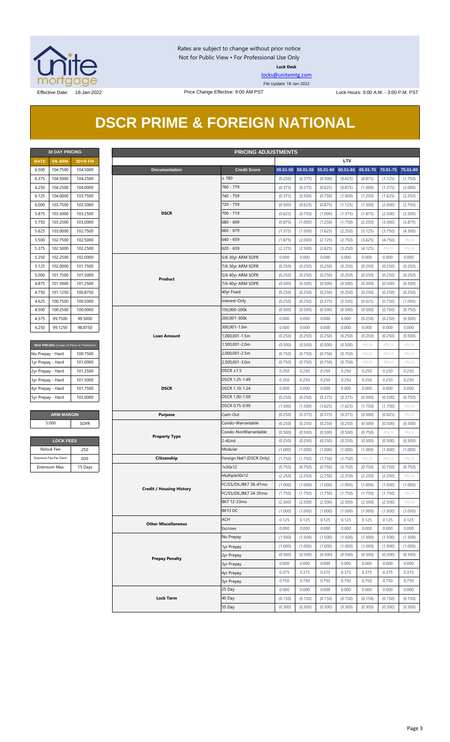

Rates are subject to change without prior notice Not for Public View • For Professional Use Only **Lock Desk**

[locks@unitemtg.com](mailto:locks@unitemtg.com)

File Update: 18-Jan-2022

# **DSCR PRIME & FOREIGN NATIONAL**

| <b>30 DAY PRICING</b> |                |                 |  |  |  |  |  |  |  |
|-----------------------|----------------|-----------------|--|--|--|--|--|--|--|
| <b>RATE</b>           | <b>5/6 ARM</b> | <b>30YR FIX</b> |  |  |  |  |  |  |  |
| 6.500                 | 104.7500       | 104.5000        |  |  |  |  |  |  |  |
| 6.375                 | 104.5000       | 104.2500        |  |  |  |  |  |  |  |
| 6.250                 | 104.2500       | 104.0000        |  |  |  |  |  |  |  |
| 6.125                 | 104.0000       | 103.7500        |  |  |  |  |  |  |  |
| 6.000                 | 103.7500       | 103.5000        |  |  |  |  |  |  |  |
| 5.875                 | 103.5000       | 103.2500        |  |  |  |  |  |  |  |
| 5.750                 | 103.2500       | 103.0000        |  |  |  |  |  |  |  |
| 5.625                 | 103.0000       | 102.7500        |  |  |  |  |  |  |  |
| 5.500                 | 102.7500       | 102.5000        |  |  |  |  |  |  |  |
| 5.375                 | 102.5000       | 102.2500        |  |  |  |  |  |  |  |
| 5.250                 | 102.2500       | 102.0000        |  |  |  |  |  |  |  |
| 5.125                 | 102,0000       | 101.7500        |  |  |  |  |  |  |  |
| 5.000                 | 101.7500       | 101.5000        |  |  |  |  |  |  |  |
| 4.875                 | 101.5000       | 101.2500        |  |  |  |  |  |  |  |
| 4.750                 | 101.1250       | 100.8750        |  |  |  |  |  |  |  |
| 4.625                 | 100.7500       | 100.5000        |  |  |  |  |  |  |  |
| 4.500                 | 100.2500       | 100.0000        |  |  |  |  |  |  |  |
| 4.375                 | 99.7500        | 99.5000         |  |  |  |  |  |  |  |
| 4.250                 | 99.1250        | 98.8750         |  |  |  |  |  |  |  |

| <b>MAX PRICING</b> (Lower of Price or Premium) |          |  |  |  |  |  |  |
|------------------------------------------------|----------|--|--|--|--|--|--|
| No Prepay - Hard                               | 100.7500 |  |  |  |  |  |  |
| 1yr Prepay - Hard                              | 101.0000 |  |  |  |  |  |  |
| 2yr Prepay - Hard                              | 101.2500 |  |  |  |  |  |  |
| 3yr Prepay - Hard                              | 101.5000 |  |  |  |  |  |  |
| 4yr Prepay - Hard                              | 101.7500 |  |  |  |  |  |  |
| 5yr Prepay - Hard                              | 102,0000 |  |  |  |  |  |  |
|                                                |          |  |  |  |  |  |  |

| <b>LOCK FEES</b>        |         |  |  |  |  |  |
|-------------------------|---------|--|--|--|--|--|
| Relock Fee:             | 250     |  |  |  |  |  |
| Extension Fee Per Diem: | .030    |  |  |  |  |  |
| <b>Extension Max:</b>   | 15 Days |  |  |  |  |  |

| <b>30 DAY PRICING</b><br><b>PRICING ADJUSTMENTS</b> |                         |                                         |                                 |                           |         |                   |          |          |          |          |          |
|-----------------------------------------------------|-------------------------|-----------------------------------------|---------------------------------|---------------------------|---------|-------------------|----------|----------|----------|----------|----------|
| <b>RATE</b>                                         | <b>5/6 ARM</b>          | 30YR FIX                                |                                 |                           |         |                   |          | LTV      |          |          |          |
| 6.500                                               | 104.7500                | 104.5000                                | <b>Documentation</b>            | <b>Credit Score</b>       |         | 00.01-50 50.01-55 | 55.01-60 | 60.01-65 | 65.01-70 | 70.01-75 | 75.01-80 |
| 6.375                                               | 104.5000                | 104.2500                                |                                 | $\geq 780$                | (0.250) | (0.375)           | (0.500)  | (0.625)  | (0.875)  | (1.125)  | (1.750)  |
| 6.250                                               | 104.2500                | 104.0000                                |                                 | 760 - 779                 | (0.375) | (0.375)           | (0.625)  | (0.875)  | (1.000)  | (1.375)  | (2.000)  |
| 6.125                                               | 104.0000                | 103.7500                                |                                 | 740 - 759                 | (0.375) | (0.500)           | (0.750)  | (1.000)  | (1.250)  | (1.625)  | (2.250)  |
| 6.000                                               | 103.7500                | 103.5000                                |                                 | 720 - 739                 | (0.500) | (0.625)           | (0.875)  | (1.125)  | (1.500)  | (2.000)  | (2.750)  |
| 5.875                                               | 103.5000                | 103.2500                                | <b>DSCR</b>                     | 700 - 719                 | (0.625) | (0.750)           | (1.000)  | (1.375)  | (1.875)  | (2.500)  | (3.500)  |
| 5.750                                               | 103.2500                | 103.0000                                |                                 | 680 - 699                 | (0.875) | (1.000)           | (1.250)  | (1.750)  | (2.250)  | (3.000)  | (3.875)  |
| 5.625                                               | 103.0000                | 102.7500                                |                                 | $660 - 679$               | (1.375) | (1.500)           | (1.625)  | (2.250)  | (3.125)  | (3.750)  | (4.500)  |
| 5.500                                               | 102.7500                | 102.5000                                |                                 | $640 - 659$               | (1.875) | (2.000)           | (2.125)  | (2.750)  | (3.625)  | (4.750)  | $\#N/A$  |
| 5.375                                               | 102.5000                | 102.2500                                |                                 | $620 - 639$               | (2.375) | (2.500)           | (2.625)  | (3.250)  | (4.125)  | #N/A     | $\#N/A$  |
| 5.250                                               | 102.2500                | 102.0000                                |                                 | 5/6 30yr ARM SOFR         | 0.000   | 0.000             | 0.000    | 0.000    | 0.000    | 0.000    | 0.000    |
| 5.125                                               | 102.0000                | 101.7500                                |                                 | 7/6 30yr ARM SOFR         | (0.250) | (0.250)           | (0.250)  | (0.250)  | (0.250)  | (0.250)  | (0.250)  |
|                                                     |                         |                                         |                                 |                           |         |                   |          |          |          |          |          |
| 5.000                                               | 101.7500                | 101.5000                                | Product                         | 5/6 40yr ARM SOFR         | (0.250) | (0.250)           | (0.250)  | (0.250)  | (0.250)  | (0.250)  | (0.250)  |
| 4.875                                               | 101.5000                | 101.2500                                |                                 | 7/6 40yr ARM SOFR         | (0.500) | (0.500)           | (0.500)  | (0.500)  | (0.500)  | (0.500)  | (0.500)  |
| 4.750                                               | 101.1250                | 100.8750                                |                                 | 40yr Fixed                | (0.250) | (0.250)           | (0.250)  | (0.250)  | (0.250)  | (0.250)  | (0.250)  |
| 4.625                                               | 100.7500                | 100,5000                                |                                 | Interest-Only             | (0.250) | (0.250)           | (0.375)  | (0.500)  | (0.625)  | (0.750)  | (1.000)  |
| 4.500                                               | 100.2500                | 100.0000                                |                                 | 150,000-200k              | (0.500) | (0.500)           | (0.500)  | (0.500)  | (0.500)  | (0.750)  | (0.750)  |
| 4.375                                               | 99.7500                 | 99.5000                                 |                                 | 200,001-300k              | 0.000   | 0.000             | 0.000    | 0.000    | (0.250)  | (0.250)  | (0.500)  |
| 4.250                                               | 99.1250                 | 98.8750                                 |                                 | 300,001-1.0m              | 0.000   | 0.000             | 0.000    | 0.000    | 0.000    | 0.000    | 0.000    |
|                                                     |                         |                                         | <b>Loan Amount</b>              | 1,000,001-1.5m            | (0.250) | (0.250)           | (0.250)  | (0.250)  | (0.250)  | (0.250)  | (0.500)  |
|                                                     |                         | MAX PRICING (Lower of Price or Premium) |                                 | 1,500,001-2.0m            | (0.500) | (0.500)           | (0.500)  | (0.500)  | $\#N/A$  | $\#N/A$  | $\#N/A$  |
| No Prepay - Hard                                    |                         | 100.7500                                |                                 | 2,000,001-2.5m            | (0.750) | (0.750)           | (0.750)  | (0.750)  | $\#N/A$  | $\#N/A$  | # $N/A$  |
| 1yr Prepay - Hard                                   |                         | 101.0000                                |                                 | 2,500,001-3.0m            | (0.750) | (0.750)           | (0.750)  | (0.750)  | $\#N/A$  | $\#N/A$  | $\#N/A$  |
| 2yr Prepay - Hard                                   |                         | 101.2500                                |                                 | DSCR $\geq$ 1.5           | 0.250   | 0.250             | 0.250    | 0.250    | 0.250    | 0.250    | 0.250    |
| 3yr Prepay - Hard                                   |                         | 101.5000                                |                                 | DSCR 1.25-1.49            | 0.250   | 0.250             | 0.250    | 0.250    | 0.250    | 0.250    | 0.250    |
| 4yr Prepay - Hard                                   |                         | 101.7500                                | <b>DSCR</b>                     | DSCR 1.10-1.24            | 0.000   | 0.000             | 0.000    | 0.000    | 0.000    | 0.000    | 0.000    |
| 5yr Prepay - Hard                                   |                         | 102.0000                                |                                 | DSCR 1.00-1.09            | (0.250) | (0.250)           | (0.375)  | (0.375)  | (0.500)  | (0.500)  | (0.750)  |
|                                                     |                         |                                         |                                 | DSCR 0.75-0.99            | (1.500) | (1.500)           | (1.625)  | (1.625)  | (1.750)  | (1.750)  | $\#N/A$  |
|                                                     | <b>ARM MARGIN</b>       |                                         | <b>Purpose</b>                  | Cash-Out                  | (0.250) | (0.375)           | (0.375)  | (0.375)  | (0.500)  | (0.625)  | $\#N/A$  |
|                                                     | 5.000                   | SOFR                                    |                                 | Condo-Warrantable         | (0.250) | (0.250)           | (0.250)  | (0.250)  | (0.500)  | (0.500)  | (0.500)  |
|                                                     |                         |                                         |                                 | Condo-NonWarrantable      | (0.500) | (0.500)           | (0.500)  | (0.500)  | (0.750)  | $\#N/A$  | #N/A     |
|                                                     | <b>LOCK FEES</b>        |                                         | <b>Property Type</b>            | 2-4Unit                   | (0.250) | (0.250)           | (0.250)  | (0.250)  | (0.500)  | (0.500)  | (0.500)  |
|                                                     | Relock Fee:             | .250                                    |                                 | Modular                   | (1.000) | (1.000)           | (1.000)  | (1.000)  | (1.000)  | (1.000)  | (1.000)  |
|                                                     | Extension Fee Per Diem: | .030                                    | Citizenship                     | Foreign Nat'l (DSCR Only) | (1.750) | (1.750)           | (1.750)  | (1.750)  | $\#N/A$  | $\#N/A$  | $\#N/A$  |
|                                                     | <b>Extension Max:</b>   | 15 Days                                 |                                 | 1x30x12                   | (0.750) | (0.750)           | (0.750)  | (0.750)  | (0.750)  | (0.750)  | (0.750)  |
|                                                     |                         |                                         |                                 | Multiple30x12             | (2.250) | (2.250)           | (2.250)  | (2.250)  | (2.250)  | (2.250)  | $\#N/A$  |
|                                                     |                         |                                         |                                 | FC/SS/DIL/BK7 36-47mo     | (1.000) | (1.000)           | (1.000)  | (1.000)  | (1.000)  | (1.000)  | (1.000)  |
|                                                     |                         |                                         | <b>Credit / Housing History</b> | FC/SS/DIL/BK7 24-35mo     | (1.750) | (1.750)           | (1.750)  | (1.750)  | (1.750)  | (1.750)  | # $N/A$  |
|                                                     |                         |                                         |                                 | BK7 12-23mo               | (2.500) | (2.500)           | (2.500)  | (2.500)  | (2.500)  | (2.500)  | $\#N/A$  |
|                                                     |                         |                                         |                                 | BK13 DC                   | (1.000) | (1.000)           | (1.000)  | (1.000)  | (1.000)  | (1.000)  | (1.000)  |
|                                                     |                         |                                         |                                 | ACH                       | 0.125   | 0.125             | 0.125    | 0.125    | 0.125    | 0.125    | 0.125    |
|                                                     |                         |                                         | <b>Other Miscellaneous</b>      | Escrows                   | 0.000   | 0.000             | 0.000    | 0.000    | 0.000    | 0.000    | 0.000    |
|                                                     |                         |                                         |                                 | No Prepay                 |         | (1.500)           | (1.500)  | (1.500)  | (1.500)  | (1.500)  | (1.500)  |
|                                                     |                         |                                         |                                 |                           | (1.500) |                   |          |          |          |          |          |
|                                                     |                         |                                         |                                 | 1yr Prepay                | (1.000) | (1.000)           | (1.000)  | (1.000)  | (1.000)  | (1.000)  | (1.000)  |
|                                                     |                         |                                         | <b>Prepay Penalty</b>           | 2yr Prepay                | (0.500) | (0.500)           | (0.500)  | (0.500)  | (0.500)  | (0.500)  | (0.500)  |
|                                                     |                         |                                         |                                 | 3yr Prepay                | 0.000   | 0.000             | 0.000    | 0.000    | 0.000    | 0.000    | 0.000    |
|                                                     |                         |                                         |                                 | 4yr Prepay                | 0.375   | 0.375             | 0.375    | 0.375    | 0.375    | 0.375    | 0.375    |
|                                                     |                         |                                         |                                 | 5yr Prepay                | 0.750   | 0.750             | 0.750    | 0.750    | 0.750    | 0.750    | 0.750    |
|                                                     |                         |                                         |                                 | 25 Day                    | 0.000   | 0.000             | 0.000    | 0.000    | 0.000    | 0.000    | 0.000    |
|                                                     |                         |                                         | <b>Lock Term</b>                | 40 Day                    | (0.150) | (0.150)           | (0.150)  | (0.150)  | (0.150)  | (0.150)  | (0.150)  |
|                                                     |                         |                                         |                                 | 55 Day                    | (0.300) | (0.300)           | (0.300)  | (0.300)  | (0.300)  | (0.300)  | (0.300)  |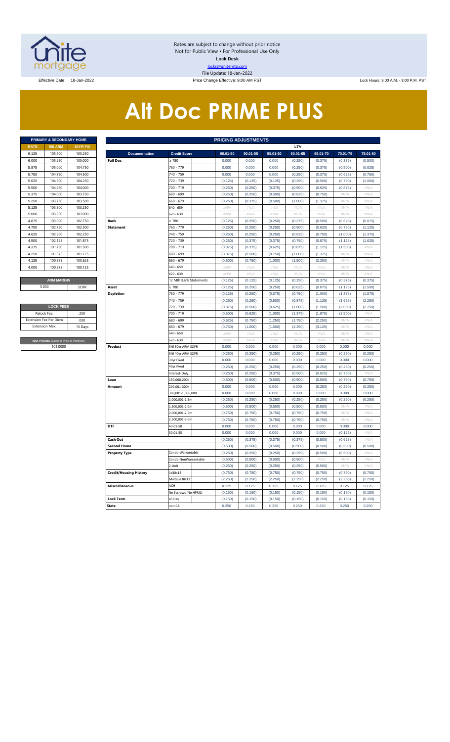

Rates are subject to change without prior notice Not for Public View • For Professional Use Only **Lock Desk** locks@unitemtg.com File Update: 18-Jan-2022

Effective Date: 18-Jan-2022 **Price Change Effective: 9:00 AM PST** Lock Hours: 9:00 A.M. - 3:00 P.M. PST

# **Alt Doc PRIME PLUS**

| <b>PRIMARY &amp; SECONDARY HOME</b> |                |                 |  |  |  |  |  |
|-------------------------------------|----------------|-----------------|--|--|--|--|--|
| <b>RATE</b>                         | <b>5/6 ARM</b> | <b>30YR FIX</b> |  |  |  |  |  |
| 6.125                               | 105.500        | 105.250         |  |  |  |  |  |
| 6.000                               | 105.250        | 105,000         |  |  |  |  |  |
| 5.875                               | 105,000        | 104.750         |  |  |  |  |  |
| 5.750                               | 104.750        | 104.500         |  |  |  |  |  |
| 5.625                               | 104.500        | 104.250         |  |  |  |  |  |
| 5.500                               | 104.250        | 104,000         |  |  |  |  |  |
| 5.375                               | 104.000        | 103.750         |  |  |  |  |  |
| 5.250                               | 103.750        | 103.500         |  |  |  |  |  |
| 5.125                               | 103.500        | 103.250         |  |  |  |  |  |
| 5.000                               | 103.250        | 103,000         |  |  |  |  |  |
| 4.875                               | 103,000        | 102.750         |  |  |  |  |  |
| 4.750                               | 102.750        | 102.500         |  |  |  |  |  |
| 4.625                               | 102.500        | 102.250         |  |  |  |  |  |
| 4.500                               | 102.125        | 101.875         |  |  |  |  |  |
| 4.375                               | 101.750        | 101.500         |  |  |  |  |  |
| 4.250                               | 101.375        | 101.125         |  |  |  |  |  |
| 4.125                               | 100.875        | 100.625         |  |  |  |  |  |
| 4.000                               | 100.375        | 100.125         |  |  |  |  |  |
|                                     |                |                 |  |  |  |  |  |
| <b>ARM MARGIN</b>                   |                |                 |  |  |  |  |  |

| <b>LOCK FEES</b>                        |         |
|-----------------------------------------|---------|
| Relock Fee:                             | 250     |
| <b>Extension Fee Per Diem</b>           | .030    |
| <b>Extension Max:</b>                   | 15 Days |
|                                         |         |
| MAX PRICING (Lower of Price or Premium) |         |
| 101,0000                                |         |

|                       | PRIMARY & SECONDARY HOME                |          |                               |                                   |                | <b>PRICING ADJUSTMENTS</b> |                |                |                  |                  |                  |
|-----------------------|-----------------------------------------|----------|-------------------------------|-----------------------------------|----------------|----------------------------|----------------|----------------|------------------|------------------|------------------|
| RATE                  | <b>5/6 ARM</b>                          | 30YR FIX |                               |                                   |                |                            |                | LTV            |                  |                  |                  |
| 6.125                 | 105.500                                 | 105.250  | <b>Documentation</b>          | <b>Credit Score</b>               | 00.01-50       | 50.01-55                   | 55.01-60       | 60.01-65       | 65.01-70         | 70.01-75         | 75.01-80         |
| 6.000                 | 105.250                                 | 105.000  | <b>Full Doc</b>               | 2780                              | 0.000          | 0.000                      | 0.000          | (0.250)        | (0.375)          | (0.375)          | (0.500)          |
| 5.875                 | 105.000                                 | 104.750  |                               | 760 - 779                         | 0.000          | 0.000                      | 0.000          | (0.250)        | (0.375)          | (0.500)          | (0.625)          |
| 5.750                 | 104.750                                 | 104.500  |                               | 740 - 759                         | 0.000          | 0.000                      | 0.000          | (0.250)        | (0.375)          | (0.625)          | (0.750)          |
| 5.625                 | 104.500                                 | 104.250  |                               | 720 - 739                         | (0.125)        | (0.125)                    | (0.125)        | (0.250)        | (0.500)          | (0.750)          | (1.000)          |
| 5.500                 | 104.250                                 | 104.000  |                               | 700 - 719                         | (0.250)        | (0.250)                    | (0.375)        | (0.500)        | (0.625)          | (0.875)          | #N//             |
| 5.375                 | 104.000                                 | 103.750  |                               | 680 - 699                         | (0.250)        | (0.250)                    | (0.500)        | (0.625)        | (0.750)          | #N/A             | #N/A             |
| 5.250                 | 103.750                                 | 103.500  |                               | 660 - 679                         | (0.250)        | (0.375)                    | (0.500)        | (1.000)        | (1.375)          | #N/A             | #N/A             |
| 5.125                 | 103.500                                 | 103.250  |                               | 640 - 659                         | #N//           | #N/                        | #N//           | #N/            | #N//             | #N/A             | #N//             |
| 5.000                 | 103.250                                 | 103.000  |                               | 620 - 639                         | $\#N/A$        | #N/A                       | $\#N/A$        | #N/A           | $\#N/A$          | #N/A             | $\#N/A$          |
| 4.875                 | 103.000                                 | 102.750  | <b>Bank</b>                   | $\geq 780$                        | (0.125)        | (0.250)                    | (0.250)        | (0.375)        | (0.500)          | (0.625)          | (0.875)          |
| 4.750                 | 102.750                                 | 102.500  | <b>Statement</b>              | 760 - 779                         | (0.250)        | (0.250)                    | (0.250)        | (0.500)        | (0.625)          | (0.750)          | (1.125)          |
| 4.625                 | 102.500                                 | 102.250  |                               | 740 - 759                         | (0.250)        | (0.250)                    | (0.250)        | (0.625)        | (0.750)          | (1.000)          | (1.375)          |
| 4.500                 | 102.125                                 | 101.875  |                               | 720 - 739                         | (0.250)        | (0.375)                    | (0.375)        | (0.750)        | (0.875)          | (1.125)          | (1.625)          |
| 4.375                 | 101.750                                 | 101.500  |                               | 700 - 719                         | (0.375)        | (0.375)                    | (0.625)        | (0.875)        | (1.125)          | (1.500)          | #N/A             |
| 4.250                 | 101.375                                 | 101.125  |                               | 680 - 699                         | (0.375)        | (0.500)                    | (0.750)        | (1.000)        | (1.375)          | #N/A             | #N/A             |
| 4.125                 | 100.875                                 | 100.625  |                               | 660 - 679                         | (0.500)        | (0.750)                    | (1.000)        | (1.500)        | (2.250)          | #N/A             | #N/A             |
| 4.000                 | 100.375                                 | 100.125  |                               | 640 - 659                         | #N/A           | #N/A                       | #N/A           | #N/A           | #N/A             | #N/A             | $\#N/A$          |
|                       |                                         |          |                               | 620 - 639                         | #N/A           | #N/A                       | $\#N/A$        | #N/A           | #N/A             | #N/A             | #N/A             |
|                       | <b>ARM MARGIN</b>                       |          |                               | 12 Mth Bank Statements            | (0.125)        | (0.125)                    | (0.125)        | (0.250)        | (0.375)          | (0.375)          | (0.375)          |
|                       | 5.000                                   | SOFR     | Asset                         | $\geq 780$                        | (0.125)        | (0.250)                    | (0.250)        | (0.625)        | (0.875)          | (1.125)          | (1.500)          |
|                       |                                         |          | <b>Depletion</b>              | 760 - 779                         | (0.125)        | (0.250)                    | (0.375)        | (0.750)        | (1.000)          | (1.375)          | (1.875)          |
|                       |                                         |          |                               | 740 - 759                         | (0.250)        | (0.250)                    | (0.500)        | (0.875)        | (1.125)          | (1.625)          | (2.250)          |
|                       | <b>LOCK FEES</b>                        |          |                               | 720 - 739                         | (0.375)        | (0.500)                    | (0.625)        | (1.000)        | (1.500)          | (2.000)          | (2.750)          |
| Relock Fee:           |                                         | 250      |                               | 700 - 719                         | (0.500)        | (0.625)                    | (1.000)        | (1.375)        | (1.875)          | (2.500)          | #N/A             |
|                       | xtension Fee Per Diem                   | .030     |                               | 680 - 699                         | (0.625)        | (0.750)                    | (1.250)        | (1.750)        | (2.250)          | #N/A             | #N/A             |
| <b>Extension Max:</b> |                                         | 15 Days  |                               | 660 - 679                         | (0.750)        | (1.000)                    | (1.500)        | (2.250)        | (3.125)          | # $N/A$          | #N/A             |
|                       |                                         |          |                               | 640 - 659                         | #N/A           | #N/A                       | # $N/A$        | #N/A           | #N/A             | #N/A             | #N/A             |
|                       | MAX PRICING (Lower of Price or Premium) |          |                               | 620 - 639                         | $\#N/\beta$    | #N/A                       | $\#N/\beta$    | #N/A           | $\#N/\beta$      | #N/A             | $\#N/\beta$      |
|                       | 101.0000                                |          | Product                       | 5/6 30yr ARM SOFR                 | 0.000          | 0.000                      | 0.000          | 0.000          | 0.000            | 0.000            | 0.000            |
|                       |                                         |          |                               | 5/6 40yr ARM SOFR                 | (0.250)        | (0.250)                    | (0.250)        | (0.250)        | (0.250)          | (0.250)          | (0.250)          |
|                       |                                         |          |                               | 30yr Fixed                        | 0.000          | 0.000                      | 0.000          | 0.000          | 0.000            | 0.000            | 0.000            |
|                       |                                         |          |                               | 40yr Fixed                        | (0.250)        | (0.250)                    | (0.250)        | (0.250)        | (0.250)          | (0.250)          | (0.250)          |
|                       |                                         |          |                               | Interest-Only                     | (0.250)        | (0.250)                    | (0.375)        | (0.500)        | (0.625)          | (0.750)          | #N/A             |
|                       |                                         |          | Loan<br>Amount                | 150,000-200k                      | (0.500)        | (0.500)                    | (0.500)        | (0.500)        | (0.500)          | (0.750)          | (0.750)          |
|                       |                                         |          |                               | 200,001-300k<br>300,001-1,000,000 | 0.000<br>0.000 | 0.000<br>0.000             | 0.000<br>0.000 | 0.000<br>0.000 | (0.250)<br>0.000 | (0.250)<br>0.000 | (0.250)<br>0.000 |
|                       |                                         |          |                               | 1,000,001-1.5m                    | (0.250)        | (0.250)                    | (0.250)        | (0.250)        | (0.250)          | (0.250)          | (0.250)          |
|                       |                                         |          |                               | .,500,001-2.0m                    | (0.500)        | (0.500)                    | (0.500)        | (0.500)        | (0.500)          | #N/A             | #N/A             |
|                       |                                         |          |                               | 2,000,001-2.5m                    | (0.750)        | (0.750)                    | (0.750)        | (0.750)        | (0.750)          | #N/A             | #N/A             |
|                       |                                         |          |                               | 2,500,001-3.0m                    | (0.750)        | (0.750)                    | (0.750)        | (0.750)        | (0.750)          | #N/A             | $\#N/\beta$      |
|                       |                                         |          | DTI                           | 43.01-50                          | 0.000          | 0.000                      | 0.000          | 0.000          | 0.000            | 0.000            | 0.000            |
|                       |                                         |          |                               | 50.01-55                          | 0.000          | 0.000                      | 0.000          | 0.000          | 0.000            | (0.125)          | #N/A             |
|                       |                                         |          | Cash Out                      |                                   | (0.250)        | (0.375)                    | (0.375)        | (0.375)        | (0.500)          | (0.625)          | #N/A             |
|                       |                                         |          | <b>Second Home</b>            |                                   | (0.500)        | (0.500)                    | (0.500)        | (0.500)        | (0.500)          | (0.500)          | (0.500)          |
|                       |                                         |          | <b>Property Type</b>          | Condo-Warrantable                 | (0.250)        | (0.250)                    | (0.250)        | (0.250)        | (0.500)          | (0.500)          | #N/A             |
|                       |                                         |          |                               | Condo-NonWarrantable              | (0.500)        | (0.500)                    | (0.500)        | (0.500)        | #N/A             | #N/A             | #N/A             |
|                       |                                         |          |                               | 2-Unit                            | (0.250)        | (0.250)                    | (0.250)        | (0.250)        | (0.500)          | #N/A             | #N/A             |
|                       |                                         |          | <b>Credit/Housing History</b> | 1x30x12                           | (0.750)        | (0.750)                    | (0.750)        | (0.750)        | (0.750)          | (0.750)          | (0.750)          |
|                       |                                         |          |                               | Multiple30x12                     | (2.250)        | (2.250)                    | (2.250)        | (2.250)        | (2.250)          | (2.250)          | (2.250)          |
|                       |                                         |          | <b>Misccellaneous</b>         | ACH                               | 0.125          | 0.125                      | 0.125          | 0.125          | 0.125            | 0.125            | 0.125            |
|                       |                                         |          |                               | No Escrows (No HPML)              | (0.150)        | (0.150)                    | (0.150)        | (0.150)        | (0.150)          | (0.150)          | (0.150)          |
|                       |                                         |          | <b>Lock Term</b>              | 45 Day                            | (0.150)        | (0.150)                    | (0.150)        | (0.150)        | (0.150)          | (0.150)          | (0.150)          |
|                       |                                         |          | <b>State</b>                  | non CA                            | 0.250          | 0.250                      | 0.250          | 0.250          | 0.250            | 0.250            | 0.250            |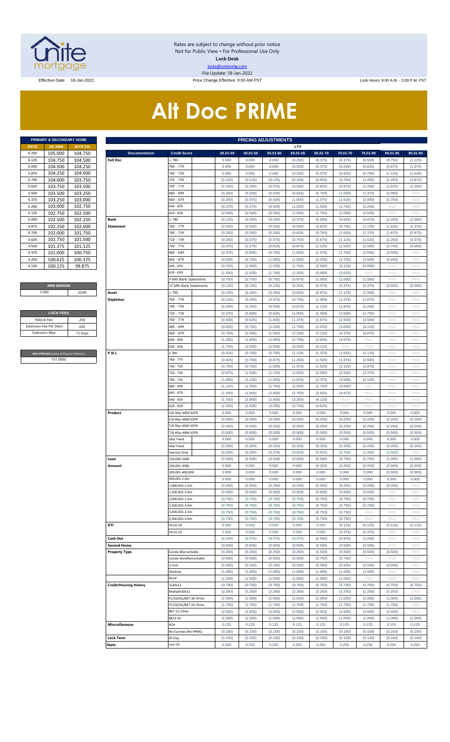

Rates are subject to change without prior notice Not for Public View • For Professional Use Only **Lock Desk** locks@unitemtg.com File Update: 18-Jan-2022

Effective Date: 18-Jan-2022 **Price Change Effective: 9:00 AM PST** Lock Hours: 9:00 A.M. - 3:00 P.M. PST

# **Alt Doc PRIME**

|             | PRIMARY & SECONDARY HOME |                 |
|-------------|--------------------------|-----------------|
| <b>RATE</b> | <b>5/6 ARM</b>           | <b>30YR FIX</b> |
| 6.250       | 105.000                  | 104.750         |
| 6.125       | 104.750                  | 104.500         |
| 6.000       | 104.500                  | 104.250         |
| 5.875       | 104.250                  | 104.000         |
| 5.750       | 104.000                  | 103.750         |
| 5.625       | 103.750                  | 103.500         |
| 5.500       | 103.500                  | 103.250         |
| 5.375       | 103.250                  | 103.000         |
| 5.250       | 103.000                  | 102.750         |
| 5.125       | 102.750                  | 102.500         |
| 5.000       | 102.500                  | 102.250         |
| 4.875       | 102.250                  | 102.000         |
| 4.750       | 102.000                  | 101.750         |
| 4.625       | 101.750                  | 101.500         |
| 4,500       | 101.375                  | 101.125         |
| 4.375       | 101.000                  | 100.750         |
| 4 250       | 100.625                  | 100.375         |
| 4.125       | 100.125                  | 99 875          |

#### **ARM MARGIN** 5.000

|                               | <b>LOCK FEES</b> |
|-------------------------------|------------------|
| Relock Fee:                   | .250             |
| <b>Extension Fee Per Diem</b> | .030             |
| <b>Fxtension Max:</b>         | 15 Days          |
|                               |                  |

**RICING** (Lower of Price or Premium) 101.0000

|                       | PRIMARY & SECONDARY HOME                |                    |                                            |                                        |                    | <b>PRICING ADJUSTMENTS</b> |                    |                     |                     |                     |                     |                     |                     |
|-----------------------|-----------------------------------------|--------------------|--------------------------------------------|----------------------------------------|--------------------|----------------------------|--------------------|---------------------|---------------------|---------------------|---------------------|---------------------|---------------------|
| RATE                  | <b>5/6 ARM</b>                          | 30YR FIX           |                                            |                                        |                    |                            |                    | LTV                 |                     |                     |                     |                     |                     |
| 6.250<br>6.125        | 105.000<br>104.750                      | 104.750<br>104.500 | <b>Documentation</b><br><b>Full Doc</b>    | <b>Credit Score</b><br>$\geq 780$      | 00.01-50<br>0.000  | $50.01 - 55$<br>0.000      | 55.01-60<br>0.000  | 60.01-65<br>(0.250) | 65.01-70<br>(0.375) | 70.01-75<br>(0.375) | 75.01-80<br>(0.500) | 80.01-85<br>(0.750) | 85.01-90<br>(1.125) |
| 6.000                 | 104.500                                 | 104.250            |                                            | 760 - 779                              | 0.000              | 0.000                      | 0.000              | (0.250)             | (0.375)             | (0.500)             | (0.625)             | (0.875)             | (1.375)             |
| 5.875                 | 104.250                                 | 104.000            |                                            | 740 - 759                              | 0.000              | 0.000                      | 0.000              | (0.250)             | (0.375)             | (0.625)             | (0.750)             | (1.125)             | (1.625)             |
| 5.750                 | 104.000                                 | 103.750            |                                            | 720 - 739                              | (0.125)            | (0.125)                    | (0.125)            | (0.250)             | (0.500)             | (0.750)             | (1.000)             | (1.250)             | (1.875)             |
| 5.625                 | 103.750                                 | 103.500            |                                            | 700 - 719                              | (0.250)            | (0.250)                    | (0.375)            | (0.500)             | (0.625)             | (0.875)             | (1.250)             | (1.625)             | (2.250)             |
| 5.500                 | 103.500                                 | 103.250            |                                            | 680 - 699                              | (0.250)            | (0.250)                    | (0.500)            | (0.625)             | (0.750)             | (1.000)             | (1.375)             | (2.000)             | #N/A                |
| 5.375                 | 103.250                                 | 103.000            |                                            | 660 - 679                              | (0.250)            | (0.375)                    | (0.500)            | (1.000)             | (1.375)             | (1.625)             | (2.000)             | (2.750)             | #N/A                |
| 5.250                 | 103.000                                 | 102.750            |                                            | 640 - 659                              | (0.375)            | (0.375)                    | (0.500)            | (1.250)             | (1.500)             | (1.750)             | (2.250)             | $\#N/A$             | #N/A                |
| 5.125                 | 102.750                                 | 102.500            |                                            | 620 - 639                              | (0.500)            | (0.500)                    | (0.500)            | (1.500)             | (1.750)             | (2.000)             | (2.500)             | $\#N/A$             | #N/A                |
| 5.000                 | 102.500<br>102.250                      | 102.250            | Bank                                       | 2780                                   | (0.125)            | (0.250)                    | (0.250)            | (0.375)             | (0.500)             | (0.625)             | (0.875)             | (1.250)             | (2.000)             |
| 4.875<br>4.750        | 102.000                                 | 102.000<br>101.750 | <b>Statement</b>                           | 760 - 779<br>740 - 759                 | (0.250)<br>(0.250) | (0.250)<br>(0.250)         | (0.250)<br>(0.250) | (0.500)<br>(0.625)  | (0.625)<br>(0.750)  | (0.750)<br>(1.000)  | (1.125)<br>(1.375)  | (1.625)<br>(1.875)  | (2.375)<br>(2.875)  |
| 4.625                 | 101.750                                 | 101.500            |                                            | 720 - 739                              | (0.250)            | (0.375)                    | (0.375)            | (0.750)             | (0.875)             | (1.125)             | (1.625)             | (2.250)             | (3.375)             |
| 4.500                 | 101.375                                 | 101.125            |                                            | 700 - 719                              | (0.375)            | (0.375)                    | (0.625)            | (0.875)             | (1.125)             | (1.500)             | (2.000)             | (2.750)             | (4.000)             |
| 4.375                 | 101.000                                 | 100.750            |                                            | 680 - 699                              | (0.375)            | (0.500)                    | (0.750)            | (1.000)             | (1.375)             | (1.750)             | (2.500)             | (3.500)             | #N/A                |
| 4.250                 | 100.625                                 | 100.375            |                                            | 660 - 679                              | (0.500)            | (0.750)                    | (1.000)            | (1.500)             | (2.250)             | (2.750)             | (3.500)             | (4.250)             | #N/A                |
| 4.125                 | 100.125                                 | 99.875             |                                            | 640 - 659                              | (0.750)            | (1.000)                    | (1.250)            | (1.750)             | (2.500)             | (3.125)             | (4.000)             | #N/A                | #N/A                |
|                       |                                         |                    |                                            | 620 - 639                              | (1.250)            | (1.500)                    | (1.750)            | (2.250)             | (3.000)             | (3.625)             | $\#N/A$             | $\#N/A$             | $\#N/A$             |
|                       | <b>ARM MARGIN</b>                       |                    |                                            | <b>Mth Bank Statements</b>             | (0.750)            | (0.750)                    | (0.750)            | (0.875)             | (1.000)             | (1.000)             | (1.000)             | $\#N/A$             | #N/A                |
| 5.000                 |                                         | SOFR               | Asset                                      | 12 Mth Bank Statements<br>2780         | (0.125)<br>(0.125) | (0.125)<br>(0.250)         | (0.125)<br>(0.250) | (0.250)<br>(0.625)  | (0.375)<br>(0.875)  | (0.375)<br>(1.125)  | (0.375)<br>(1.500)  | (0.500)<br>$\#N/A$  | (0.500)<br>#N/A     |
|                       |                                         |                    |                                            | 760 - 779                              | (0.125)            | (0.250)                    |                    |                     |                     |                     |                     | #N/A                | #N/A                |
|                       |                                         |                    | <b>Depletion</b>                           | 740 - 759                              | (0.250)            | (0.250)                    | (0.375)<br>(0.500) | (0.750)<br>(0.875)  | (1.000)<br>(1.125)  | (1.375)<br>(1.625)  | (1.875)<br>(2.250)  | #N/A                | #N/A                |
|                       | <b>LOCK FEES</b>                        |                    |                                            | 720 - 739                              | (0.375)            | (0.500)                    | (0.625)            | (1.000)             | (1.500)             | (2.000)             | (2.750)             | #N/A                | #N/A                |
| Relock Fee:           |                                         | .250               |                                            | 700 - 719                              | (0.500)            | (0.625)                    | (1.000)            | (1.375)             | (1.875)             | (2.500)             | (3.500)             | #N/A                | #N/A                |
|                       | xtension Fee Per Diem                   | .030               |                                            | 680 - 699                              | (0.625)            | (0.750)                    | (1.250)            | (1.750)             | (2.250)             | (3.000)             | (4.125)             | #N/A                | #N/A                |
| <b>Extension Max:</b> |                                         | 15 Days            |                                            | 660 - 679                              | (0.750)            | (1.000)                    | (1.500)            | (2.250)             | (3.125)             | (4.375)             | (4.875)             | #N/A                | #N/A                |
|                       |                                         |                    |                                            | 640 - 659                              | (1.250)            | (1.500)                    | (2.000)            | (2.750)             | (3.625)             | (4.875)             | #N/A                | #N/A                | #N/A                |
|                       |                                         |                    |                                            | 620 - 639                              | (1.750)            | (2.000)                    | (2.500)            | (3.250)             | (4.125)             | #N/A                | #N/A                | #N/A                | #N/A                |
|                       | MAX PRICING (Lower of Price or Premium) |                    | <b>P&amp;L</b>                             | :780                                   | (0.625)            | (0.750)                    | (0.750)            | (1.125)             | (1.375)             | (1.625)             | (2.125)             | #N/A                | #N/A                |
|                       | 101.0000                                |                    |                                            | 760 - 779<br>740 - 759                 | (0.625)<br>(0.750) | (0.750)<br>(0.750)         | (0.875)<br>(1.000) | (1.250)<br>(1.375)  | (1.500)<br>(1.625)  | (1.875)<br>(2.125)  | (2.500)<br>(2.875)  | #N/A<br>#N/A        | #N/A<br>#N/A        |
|                       |                                         |                    |                                            | 720 - 739                              | (0.875)            | (1.000)                    | (1.125)            | (1.500)             | (2.000)             | (2.500)             | (3.375)             | #N/A                | #N/A                |
|                       |                                         |                    |                                            | 700 - 719                              | (1.000)            | (1.125)                    | (1.500)            | (1.875)             | (2.375)             | (3.000)             | (4.125)             | #N/A                | #N/A                |
|                       |                                         |                    |                                            | 680 - 699                              | (1.125)            | (1.250)                    | (1.750)            | (2.250)             | (2.750)             | (3.500)             | $\#N/A$             | #N/A                | #N/A                |
|                       |                                         |                    |                                            | 660 - 679                              | (1.250)            | (1.500)                    | (2.000)            | (2.750)             | (3.625)             | (4.875)             | #N/A                | #N/A                | #N/A                |
|                       |                                         |                    |                                            | 640 - 659                              | (1.750)            | (2.000)                    | (2.500)            | (3.250)             | (4.125)             | #N/A                | $\#N/A$             | #N/A                | #N/A                |
|                       |                                         |                    |                                            | 620 - 639                              | (2.250)            | (2.500)                    | (3.000)            | (3.750)             | (4.625)             | #N/A                | #N/A                | #N/A                | #N/A                |
|                       |                                         |                    | Product                                    | 5/6 30yr ARM SOFR                      | 0.000              | 0.000                      | 0.000              | 0.000               | 0.000               | 0.000               | 0.000               | 0.000               | 0.000               |
|                       |                                         |                    |                                            | 5/6 40yr ARM SOFR                      | (0.250)            | (0.250)                    | (0.250)            | (0.250)             | (0.250)             | (0.250)             | (0.250)             | (0.250)             | (0.250)             |
|                       |                                         |                    |                                            | 7/6 30yr ARM SOFR<br>7/6 40yr ARM SOFR | (0.250)<br>(0.500) | (0.250)<br>(0.500)         | (0.250)<br>(0.500) | (0.250)<br>(0.500)  | (0.250)<br>(0.500)  | (0.250)<br>(0.500)  | (0.250)<br>(0.500)  | (0.250)<br>(0.500)  | (0.250)<br>(0.500)  |
|                       |                                         |                    |                                            | 30yr Fixed                             | 0.000              | 0.000                      | 0.000              | 0.000               | 0.000               | 0.000               | 0.000               | 0.000               | 0.000               |
|                       |                                         |                    |                                            | 40yr Fixed                             | (0.250)            | (0.250)                    | (0.250)            | (0.250)             | (0.250)             | (0.250)             | (0.250)             | (0.250)             | (0.250)             |
|                       |                                         |                    |                                            | Interest-Only                          | (0.250)            | (0.250)                    | (0.375)            | (0.500)             | (0.625)             | (0.750)             | (1.000)             | (1.500)             | #N/A                |
|                       |                                         |                    | Loan                                       | 150.000-200k                           | (0.500)            | (0.500)                    | (0.500)            | (0.500)             | (0.500)             | (0.750)             | (0.750)             | (1.000)             | (1.000)             |
|                       |                                         |                    | Amount                                     | 200,001-300k                           | 0.000              | 0.000                      | 0.000              | 0.000               | (0.250)             | (0.250)             | (0.250)             | (0.500)             | (0.500)             |
|                       |                                         |                    |                                            | 300,001-400,000                        | 0.000              | 0.000                      | 0.000              | 0.000               | 0.000               | 0.000               | 0.000               | (0.500)             | (0.500)             |
|                       |                                         |                    |                                            | 400,001-1.0m                           | 0.000              | 0.000                      | 0.000              | 0.000               | 0.000               | 0.000               | 0.000               | 0.000               | 0.000               |
|                       |                                         |                    |                                            | ,000,001-1.5m<br>,500,001-2.0m         | (0.250)<br>(0.500) | (0.250)<br>(0.500)         | (0.250)<br>(0.500) | (0.250)<br>(0.500)  | (0.250)<br>(0.500)  | (0.250)<br>(0.500)  | (0.250)<br>(0.500)  | (0.250)<br>#N/A     | $\#N/A$<br>#N/A     |
|                       |                                         |                    |                                            | ,000,001-2.5m                          | (0.750)            | (0.750)                    | (0.750)            | (0.750)             | (0.750)             | (0.750)             | (0.750)             | #N/A                | #N/A                |
|                       |                                         |                    |                                            | 500,001-3.0m                           | (0.750)            | (0.750)                    | (0.750)            | (0.750)             | (0.750)             | (0.750)             | (0.750)             | #N/A                | #N/A                |
|                       |                                         |                    |                                            | ,000,001-3.5m                          | (0.750)            | (0.750)                    | (0.750)            | (0.750)             | (0.750)             | (0.750)             | #N/A                | #N/A                | #N/A                |
|                       |                                         |                    |                                            | ,500,001-4.0m                          | (0.750)            | (0.750)                    | (0.750)            | (0.750)             | (0.750)             | (0.750)             | $\#N/A$             | $\#N/A$             | #N/A                |
|                       |                                         |                    | DTI                                        | 13.01-50                               | 0.000              | 0.000                      | 0.000              | 0.000               | 0.000               | (0.125)             | (0.125)             | (0.125)             | (0.125)             |
|                       |                                         |                    |                                            | 50.01-55                               | 0.000              | 0.000                      | 0.000              | 0.000               | 0.000               | (0.375)             | (0.375)             | #N/A                | #N/A                |
|                       |                                         |                    | Cash Out                                   |                                        | (0.250)            | (0.375)                    | (0.375)            | (0.375)             | (0.500)             | (0.625)             | (1.000)             | #N/A                | #N/A                |
|                       |                                         |                    | <b>Second Home</b><br><b>Property Type</b> | Condo-Warrantable                      | (0.500)<br>(0.250) | (0.500)<br>(0.250)         | (0.500)<br>(0.250) | (0.500)<br>(0.250)  | (0.500)<br>(0.500)  | (0.500)<br>(0.500)  | (0.500)<br>(0.500)  | #N/A<br>(0.500)     | #N/A<br>#N/A        |
|                       |                                         |                    |                                            | Condo-NonWarrantable                   | (0.500)            | (0.500)                    | (0.500)            | (0.500)             | (0.750)             | (0.750)             | $\#N/A$             | #N/A                | #N/A                |
|                       |                                         |                    |                                            | !-Unit                                 | (0.250)            | (0.250)                    | (0.250)            | (0.250)             | (0.500)             | (0.500)             | (0.500)             | (0.500)             | #N/A                |
|                       |                                         |                    |                                            | Modular                                | (1.000)            | (1.000)                    | (1.000)            | (1.000)             | (1.000)             | (1.000)             | (1.000)             | #N/A                | #N/A                |
|                       |                                         |                    |                                            | Rural                                  | (1.000)            | (1.000)                    | (1.000)            | (1.000)             | (1.000)             | (1.000)             | #N/A                | #N/A                | #N/A                |
|                       |                                         |                    | Credit/Housing History                     | Lx30x12                                | (0.750)            | (0.750)                    | (0.750)            | (0.750)             | (0.750)             | (0.750)             | (0.750)             | (0.750)             | (0.750)             |
|                       |                                         |                    |                                            | Multiple30x12                          | (2.250)            | (2.250)                    | (2.250)            | (2.250)             | (2.250)             | (2.250)             | (2.250)             | (2.250)             | $\#N/A$             |
|                       |                                         |                    |                                            | C/SS/DIL/BK7 36-47mo                   | (1.000)            | (1.000)                    | (1.000)            | (1.000)             | (1.000)             | (1.000)             | (1.000)             | (1.000)             | (1.000)             |
|                       |                                         |                    |                                            | C/SS/DIL/BK7 24-35mo<br>BK7 12-23mo    | (1.750)<br>(2.500) | (1.750)<br>(2.500)         | (1.750)<br>(2.500) | (1.750)<br>(2.500)  | (1.750)<br>(2.500)  | (1.750)<br>(2.500)  | (1.750)<br>(2.500)  | (1.750)<br>(2.500)  | #N/A<br>#N/A        |
|                       |                                         |                    |                                            | BK13 DC                                | (1.000)            | (1.000)                    | (1.000)            | (1.000)             | (1.000)             | (1.000)             | (1.000)             | (1.000)             | (1.000)             |
|                       |                                         |                    | <b>Misccellaneous</b>                      | ACH                                    | 0.125              | 0.125                      | 0.125              | 0.125               | 0.125               | 0.125               | 0.125               | 0.125               | 0.125               |
|                       |                                         |                    |                                            | No Escrows (No HPML)                   | (0.150)            | (0.150)                    | (0.150)            | (0.150)             | (0.150)             | (0.150)             | (0.150)             | (0.150)             | (0.150)             |
|                       |                                         |                    | <b>Lock Term</b>                           | 45 Day                                 | (0.150)            | (0.150)                    | (0.150)            | (0.150)             | (0.150)             | (0.150)             | (0.150)             | (0.150)             | (0.150)             |
|                       |                                         |                    | <b>State</b>                               | non CA                                 | 0.250              | 0.250                      | 0.250              | 0.250               | 0.250               | 0.250               | 0.250               | 0.250               | 0.250               |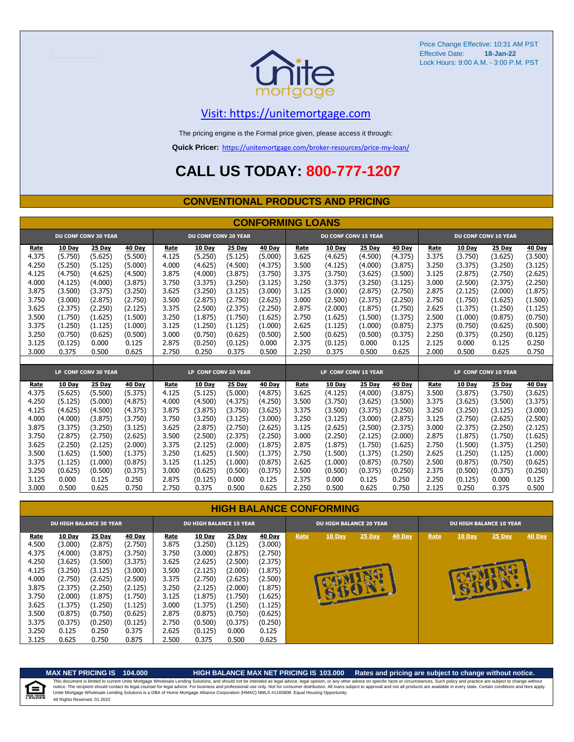

### [V](https://unitemortgage.com/)isit: https://unitemortgage.com

The pricing engine is the Formal price given, please access it through:

**Quick Pricer:** [https://un](https://unitemortgage.com/broker-resources/price-my-loan/)itemortgage.com/broker-resources/price-my-loan/

## **CALL US TODAY: 800-777-1207**

### **CONVENTIONAL PRODUCTS AND PRICING**

|       |         |                             |         |                      |                             |         | <b>CONFORMING LOANS</b> |                      |                             |         |         |       |         |                             |               |
|-------|---------|-----------------------------|---------|----------------------|-----------------------------|---------|-------------------------|----------------------|-----------------------------|---------|---------|-------|---------|-----------------------------|---------------|
|       |         | <b>DU CONF CONV 30 YEAR</b> |         |                      | <b>DU CONF CONV 20 YEAR</b> |         |                         |                      | <b>DU CONF CONV 15 YEAR</b> |         |         |       |         | <b>DU CONF CONV 10 YEAR</b> |               |
| Rate  | 10 Day  | 25 Day                      | 40 Day  | Rate                 | 10 Day                      | 25 Day  | 40 Day                  | Rate                 | 10 Day                      | 25 Day  | 40 Day  | Rate  | 10 Day  | 25 Day                      | <b>40 Day</b> |
| 4.375 | (5.750) | (5.625)                     | (5.500) | 4.125                | (5.250)                     | (5.125) | (5.000)                 | 3.625                | (4.625)                     | (4.500) | (4.375) | 3.375 | (3.750) | (3.625)                     | (3.500)       |
| 4.250 | (5.250) | (5.125)                     | (5.000) | 4.000                | (4.625)                     | (4.500) | (4.375)                 | 3.500                | (4.125)                     | (4.000) | (3.875) | 3.250 | (3.375) | (3.250)                     | (3.125)       |
| 4.125 | (4.750) | (4.625)                     | (4.500) | 3.875                | (4.000)                     | (3.875) | (3.750)                 | 3.375                | (3.750)                     | (3.625) | (3.500) | 3.125 | (2.875) | (2.750)                     | (2.625)       |
| 4.000 | (4.125) | (4.000)                     | (3.875) | 3.750                | (3.375)                     | (3.250) | (3.125)                 | 3.250                | (3.375)                     | (3.250) | (3.125) | 3.000 | (2.500) | (2.375)                     | (2.250)       |
| 3.875 | (3.500) | (3.375)                     | (3.250) | 3.625                | (3.250)                     | (3.125) | (3.000)                 | 3.125                | (3.000)                     | (2.875) | (2.750) | 2.875 | (2.125) | (2.000)                     | (1.875)       |
| 3.750 | (3.000) | (2.875)                     | (2.750) | 3.500                | (2.875)                     | (2.750) | (2.625)                 | 3.000                | (2.500)                     | (2.375) | (2.250) | 2.750 | (1.750) | (1.625)                     | (1.500)       |
| 3.625 | (2.375) | (2.250)                     | (2.125) | 3.375                | (2.500)                     | (2.375) | (2.250)                 | 2.875                | (2.000)                     | (1.875) | (1.750) | 2.625 | (1.375) | (1.250)                     | (1.125)       |
| 3.500 | (1.750) | (1.625)                     | (1.500) | 3.250                | (1.875)                     | (1.750) | (1.625)                 | 2.750                | (1.625)                     | (1.500) | (1.375) | 2.500 | (1.000) | (0.875)                     | (0.750)       |
| 3.375 | (1.250) | (1.125)                     | (1.000) | 3.125                | (1.250)                     | (1.125) | (1.000)                 | 2.625                | (1.125)                     | (1.000) | (0.875) | 2.375 | (0.750) | (0.625)                     | (0.500)       |
| 3.250 | (0.750) | (0.625)                     | (0.500) | 3.000                | (0.750)                     | (0.625) | (0.500)                 | 2.500                | (0.625)                     | (0.500) | (0.375) | 2.250 | (0.375) | (0.250)                     | (0.125)       |
| 3.125 | (0.125) | 0.000                       | 0.125   | 2.875                | (0.250)                     | (0.125) | 0.000                   | 2.375                | (0.125)                     | 0.000   | 0.125   | 2.125 | 0.000   | 0.125                       | 0.250         |
| 3.000 | 0.375   | 0.500                       | 0.625   | 2.750                | 0.250                       | 0.375   | 0.500                   | 2.250                | 0.375                       | 0.500   | 0.625   | 2.000 | 0.500   | 0.625                       | 0.750         |
|       |         |                             |         |                      |                             |         |                         |                      |                             |         |         |       |         |                             |               |
|       |         | LP CONF CONV 30 YEAR        |         | LP CONF CONV 20 YEAR |                             |         |                         | LP CONF CONV 15 YEAR |                             |         |         |       |         | LP CONF CONV 10 YEAR        |               |
| Rate  | 10 Day  | 25 Day                      | 40 Day  | Rate                 | 10 Day                      | 25 Day  | 40 Day                  | Rate                 | 10 Day                      | 25 Day  | 40 Day  | Rate  | 10 Day  | 25 Day                      | <b>40 Day</b> |
| 4.375 | (5.625) | (5.500)                     | (5.375) | 4.125                | (5.125)                     | (5.000) | (4.875)                 | 3.625                | (4.125)                     | (4.000) | (3.875) | 3.500 | (3.875) | (3.750)                     | (3.625)       |
| 4.250 | (5.125) | (5.000)                     | (4.875) | 4.000                | (4.500)                     | (4.375) | (4.250)                 | 3.500                | (3.750)                     | (3.625) | (3.500) | 3.375 | (3.625) | (3.500)                     | (3.375)       |
| 4.125 | (4.625) | (4.500)                     | (4.375) | 3.875                | (3.875)                     | (3.750) | (3.625)                 | 3.375                | (3.500)                     | (3.375) | (3.250) | 3.250 | (3.250) | (3.125)                     | (3.000)       |
| 4.000 | (4.000) | (3.875)                     | (3.750) | 3.750                | (3.250)                     | (3.125) | (3.000)                 | 3.250                | (3.125)                     | (3.000) | (2.875) | 3.125 | (2.750) | (2.625)                     | (2.500)       |
| 3.875 | (3.375) | (3.250)                     | (3.125) | 3.625                | (2.875)                     | (2.750) | (2.625)                 | 3.125                | (2.625)                     | (2.500) | (2.375) | 3.000 | (2.375) | (2.250)                     | (2.125)       |
| 3.750 | (2.875) | (2.750)                     | (2.625) | 3.500                | (2.500)                     | (2.375) | (2.250)                 | 3.000                | (2.250)                     | (2.125) | (2.000) | 2.875 | (1.875) | (1.750)                     | (1.625)       |
| 3.625 | (2.250) | (2.125)                     | (2.000) | 3.375                | (2.125)                     | (2.000) | (1.875)                 | 2.875                | (1.875)                     | (1.750) | (1.625) | 2.750 | (1.500) | (1.375)                     | (1.250)       |
| 3.500 | (1.625) | (1.500)                     | (1.375) | 3.250                | (1.625)                     | (1.500) | (1.375)                 | 2.750                | (1.500)                     | (1.375) | (1.250) | 2.625 | (1.250) | (1.125)                     | (1.000)       |
| 3.375 | (1.125) | (1.000)                     | (0.875) | 3.125                | (1.125)                     | (1.000) | (0.875)                 | 2.625                | (1.000)                     | (0.875) | (0.750) | 2.500 | (0.875) | (0.750)                     | (0.625)       |
| 3.250 | (0.625) | (0.500)                     | (0.375) | 3.000                | (0.625)                     | (0.500) | (0.375)                 | 2.500                | (0.500)                     | (0.375) | (0.250) | 2.375 | (0.500) | (0.375)                     | (0.250)       |
| 3.125 | 0.000   | 0.125                       | 0.250   | 2.875                | (0.125)                     | 0.000   | 0.125                   | 2.375                | 0.000                       | 0.125   | 0.250   | 2.250 | (0.125) | 0.000                       | 0.125         |
| 3.000 | 0.500   | 0.625                       | 0.750   | 2.750                | 0.375                       | 0.500   | 0.625                   | 2.250                | 0.500                       | 0.625   | 0.750   | 2.125 | 0.250   | 0.375                       | 0.500         |

#### **HIGH BALANCE CONFORMING**

|             | <b>DU HIGH BALANCE 30 YEAR</b> |               |               | <b>DU HIGH BALANCE 15 YEAR</b> |               |               |               |      | <b>DU HIGH BALANCE 20 YEAR</b> |        |        |      | <b>DU HIGH BALANCE 10 YEAR</b> |               |               |  |  |
|-------------|--------------------------------|---------------|---------------|--------------------------------|---------------|---------------|---------------|------|--------------------------------|--------|--------|------|--------------------------------|---------------|---------------|--|--|
| <u>Rate</u> | <b>10 Day</b>                  | <b>25 Day</b> | <b>40 Day</b> | Rate                           | <b>10 Day</b> | <b>25 Day</b> | <b>40 Day</b> | Rate | 10 Day                         | 25 Day | 40 Day | Rate | 10 Day                         | <b>25 Day</b> | <b>40 Day</b> |  |  |
| 4.500       | (3.000)                        | (2.875)       | (2.750)       | 3.875                          | (3.250)       | (3.125)       | (3.000)       |      |                                |        |        |      |                                |               |               |  |  |
| 4.375       | (4.000)                        | (3.875)       | (3.750)       | 3.750                          | (3.000)       | (2.875)       | (2.750)       |      |                                |        |        |      |                                |               |               |  |  |
| 4.250       | (3.625)                        | (3.500)       | (3.375)       | 3.625                          | (2.625)       | (2.500)       | (2.375)       |      |                                |        |        |      |                                |               |               |  |  |
| 4.125       | (3.250)                        | (3.125)       | (3.000)       | 3.500                          | (2.125)       | (2.000)       | (1.875)       |      |                                |        |        |      |                                |               |               |  |  |
| 4.000       | (2.750)                        | (2.625)       | (2.500)       | 3.375                          | (2.750)       | (2.625)       | (2.500)       |      |                                |        |        |      |                                |               |               |  |  |
| 3.875       | (2.375)                        | (2.250)       | (2.125)       | 3.250                          | (2.125)       | (2.000)       | (1.875)       |      | <b>RUCE</b>                    |        |        |      | B                              |               |               |  |  |
| 3.750       | (2.000)                        | (1.875)       | (1.750)       | 3.125                          | (1.875)       | (1.750)       | (1.625)       |      |                                |        |        |      |                                |               |               |  |  |
| 3.625       | (1.375)                        | (1.250)       | (1.125)       | 3.000                          | (1.375)       | (1.250)       | (1.125)       |      |                                |        |        |      |                                |               |               |  |  |
| 3.500       | (0.875)                        | (0.750)       | (0.625)       | 2.875                          | (0.875)       | (0.750)       | (0.625)       |      |                                |        |        |      |                                |               |               |  |  |
| 3.375       | (0.375)                        | (0.250)       | (0.125)       | 2.750                          | (0.500)       | (0.375)       | (0.250)       |      |                                |        |        |      |                                |               |               |  |  |
| 3.250       | 0.125                          | 0.250         | 0.375         | 2.625                          | (0.125)       | 0.000         | 0.125         |      |                                |        |        |      |                                |               |               |  |  |
| 3.125       | 0.625                          | 0.750         | 0.875         | 2.500                          | 0.375         | 0.500         | 0.625         |      |                                |        |        |      |                                |               |               |  |  |

自

#### **MAX NET PRICING IS 104.000 HIGH BALANCE MAX NET PRICING IS 103.000 Rates and pricing are subject to change without notice.**

All Rights Reserved. 01.2022 This document is limited to current Unite Mortgage Wholesale Lending Solutions, and should not be intended as legal advice, legal opinion, or any other advice on specific facts or circumstances. Such policy and practice ar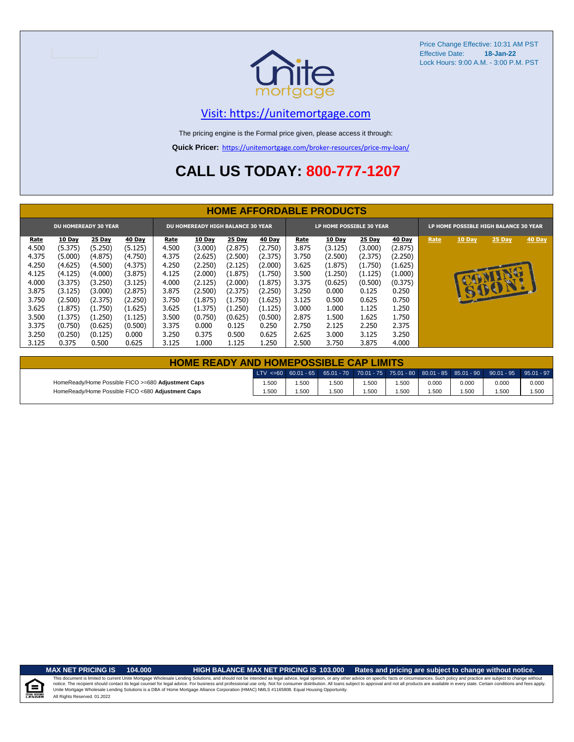

### [V](https://unitemortgage.com/)isit: https://unitemortgage.com

The pricing engine is the Formal price given, please access it through:

**Quick Pricer:** [https://un](https://unitemortgage.com/broker-resources/price-my-loan/)itemortgage.com/broker-resources/price-my-loan/

## **CALL US TODAY: 800-777-1207**

|             | <b>HOME AFFORDABLE PRODUCTS</b> |                             |         |       |                                          |         |               |       |                                 |               |               |      |               |                                       |        |
|-------------|---------------------------------|-----------------------------|---------|-------|------------------------------------------|---------|---------------|-------|---------------------------------|---------------|---------------|------|---------------|---------------------------------------|--------|
|             |                                 | <b>DU HOMEREADY 30 YEAR</b> |         |       | <b>DU HOMEREADY HIGH BALANCE 30 YEAR</b> |         |               |       | <b>LP HOME POSSIBLE 30 YEAR</b> |               |               |      |               | LP HOME POSSIBLE HIGH BALANCE 30 YEAR |        |
| <u>Rate</u> | 10 Day                          | 25 Day                      | 40 Day  | Rate  | <b>10 Day</b>                            | 25 Day  | <b>40 Day</b> | Rate  | 10 Day                          | <b>25 Day</b> | <b>40 Day</b> | Rate | <b>10 Day</b> | <b>25 Day</b>                         | 40 Day |
| 4.500       | (5.375)                         | (5.250)                     | (5.125) | 4.500 | (3.000)                                  | (2.875) | (2.750)       | 3.875 | (3.125)                         | (3.000)       | (2.875)       |      |               |                                       |        |
| 4.375       | (5.000)                         | (4.875)                     | (4.750) | 4.375 | (2.625)                                  | (2.500) | (2.375)       | 3.750 | (2.500)                         | (2.375)       | (2.250)       |      |               |                                       |        |
| 4.250       | (4.625)                         | (4.500)                     | (4.375) | 4.250 | (2.250)                                  | (2.125) | (2.000)       | 3.625 | (1.875)                         | (1.750)       | (1.625)       |      |               |                                       |        |
| 4.125       | (4.125)                         | (4.000)                     | (3.875) | 4.125 | (2.000)                                  | (1.875) | (1.750)       | 3.500 | (1.250)                         | (1.125)       | (1.000)       |      |               | NU                                    |        |
| 4.000       | (3.375)                         | (3.250)                     | (3.125) | 4.000 | (2.125)                                  | (2.000) | (1.875)       | 3.375 | (0.625)                         | (0.500)       | (0.375)       |      | $\mathbf{C}$  |                                       |        |
| 3.875       | (3.125)                         | (3.000)                     | (2.875) | 3.875 | (2.500)                                  | (2.375) | (2.250)       | 3.250 | 0.000                           | 0.125         | 0.250         |      |               | 15001                                 |        |
| 3.750       | (2.500)                         | (2.375)                     | (2.250) | 3.750 | (1.875)                                  | (1.750) | (1.625)       | 3.125 | 0.500                           | 0.625         | 0.750         |      |               |                                       |        |
| 3.625       | (1.875)                         | (1.750)                     | (1.625) | 3.625 | (1.375)                                  | (1.250) | (1.125)       | 3.000 | 1.000                           | 1.125         | 1.250         |      |               |                                       |        |
| 3.500       | (1.375)                         | (1.250)                     | (1.125) | 3.500 | (0.750)                                  | (0.625) | (0.500)       | 2.875 | 1.500                           | 1.625         | 1.750         |      |               |                                       |        |
| 3.375       | (0.750)                         | (0.625)                     | (0.500) | 3.375 | 0.000                                    | 0.125   | 0.250         | 2.750 | 2.125                           | 2.250         | 2.375         |      |               |                                       |        |
| 3.250       | (0.250)                         | (0.125)                     | 0.000   | 3.250 | 0.375                                    | 0.500   | 0.625         | 2.625 | 3.000                           | 3.125         | 3.250         |      |               |                                       |        |
| 3.125       | 0.375                           | 0.500                       | 0.625   | 3.125 | 1.000                                    | 1.125   | 1.250         | 2.500 | 3.750                           | 3.875         | 4.000         |      |               |                                       |        |

| <b>HOME READY AND HOMEPOSSIBLE CAP LIMITS</b>      |       |      |      |       |       |       |       |                                                                                                           |       |  |  |  |
|----------------------------------------------------|-------|------|------|-------|-------|-------|-------|-----------------------------------------------------------------------------------------------------------|-------|--|--|--|
|                                                    |       |      |      |       |       |       |       | 0.01 − 1 − 35 − 36.01 − 37 − 38.01 − 37.01 − 38.01 − 38.01 − 38.01 − 38.01 − 39.01 − 39.01 − 39.01 − 37 € |       |  |  |  |
| HomeReady/Home Possible FICO >=680 Adjustment Caps | 1.500 | .500 | .500 | 1.500 | 1.500 | 0.000 | 0.000 | 0.000                                                                                                     | 0.000 |  |  |  |
| HomeReady/Home Possible FICO <680 Adjustment Caps  | 1.500 | .500 | .500 | 1.500 | 1.500 | .500  | 1.500 | .500                                                                                                      | 1.500 |  |  |  |

.<br>N. Hou

**MAX NET PRICING IS 104.000 HIGH BALANCE MAX NET PRICING IS 103.000 Rates and pricing are subject to change without notice.**

All Rights Reserved. 01.2022 This document is limited to current Unite Mortgage Wholesale Lending Solutions, and should not be intended as legal advice, legal opinion, or any other advice on specific facts or circumstances. Such policy and practice ar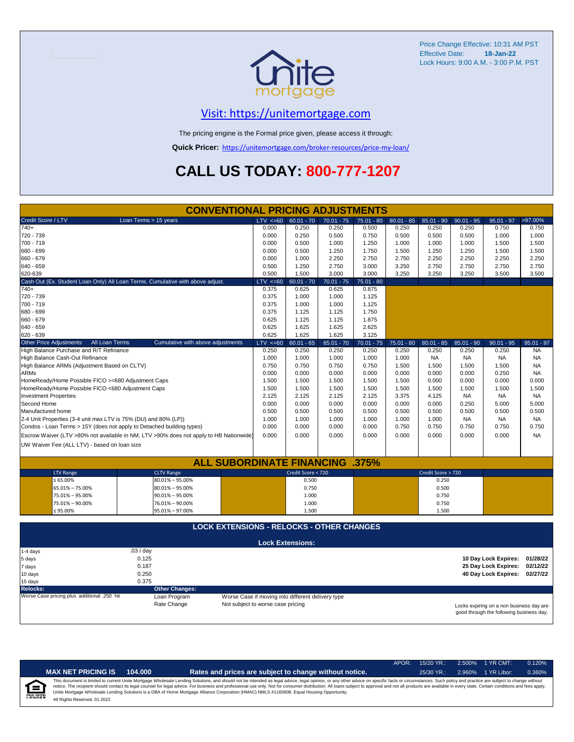

## [V](https://unitemortgage.com/)isit: https://unitemortgage.com

The pricing engine is the Formal price given, please access it through:

**Quick Pricer:** [https://un](https://unitemortgage.com/broker-resources/price-my-loan/)itemortgage.com/broker-resources/price-my-loan/

## **CALL US TODAY: 800-777-1207**

| <b>CONVENTIONAL PRICING ADJUSTMENTS</b>                               |                                                                                        |                                                   |                         |              |              |              |                    |              |                                          |              |  |  |
|-----------------------------------------------------------------------|----------------------------------------------------------------------------------------|---------------------------------------------------|-------------------------|--------------|--------------|--------------|--------------------|--------------|------------------------------------------|--------------|--|--|
| Credit Score / LTV                                                    | Loan Terms > 15 years                                                                  | $LTV \le 60$                                      | $60.01 - 70$            | $70.01 - 75$ | $75.01 - 80$ | $80.01 - 85$ | $85.01 - 90$       | $90.01 - 95$ | $95.01 - 97$                             | >97.00%      |  |  |
| $740+$                                                                |                                                                                        | 0.000                                             | 0.250                   | 0.250        | 0.500        | 0.250        | 0.250              | 0.250        | 0.750                                    | 0.750        |  |  |
| 720 - 739                                                             |                                                                                        | 0.000                                             | 0.250                   | 0.500        | 0.750        | 0.500        | 0.500              | 0.500        | 1.000                                    | 1.000        |  |  |
| 700 - 719                                                             |                                                                                        | 0.000                                             | 0.500                   | 1.000        | 1.250        | 1.000        | 1.000              | 1.000        | 1.500                                    | 1.500        |  |  |
| 680 - 699                                                             |                                                                                        | 0.000                                             | 0.500                   | 1.250        | 1.750        | 1.500        | 1.250              | 1.250        | 1.500                                    | 1.500        |  |  |
| 660 - 679                                                             |                                                                                        | 0.000                                             | 1.000                   | 2.250        | 2.750        | 2.750        | 2.250              | 2.250        | 2.250                                    | 2.250        |  |  |
| 640 - 659                                                             |                                                                                        | 0.500                                             | 1.250                   | 2.750        | 3.000        | 3.250        | 2.750              | 2.750        | 2.750                                    | 2.750        |  |  |
| 620-639                                                               |                                                                                        | 0.500                                             | 1.500                   | 3.000        | 3.000        | 3.250        | 3.250              | 3.250        | 3.500                                    | 3.500        |  |  |
|                                                                       | Cash Out (Ex. Student Loan Only) All Loan Terms. Cumulative with above adjust.         | $LTV \le 60$                                      | $60.01 - 70$            | $70.01 - 75$ | $75.01 - 80$ |              |                    |              |                                          |              |  |  |
| $740+$                                                                |                                                                                        | 0.375                                             | 0.625                   | 0.625        | 0.875        |              |                    |              |                                          |              |  |  |
| 720 - 739                                                             |                                                                                        | 0.375                                             | 1.000                   | 1.000        | 1.125        |              |                    |              |                                          |              |  |  |
| 700 - 719                                                             |                                                                                        | 0.375                                             | 1.000                   | 1.000        | 1.125        |              |                    |              |                                          |              |  |  |
| 680 - 699                                                             |                                                                                        | 0.375                                             | 1.125                   | 1.125        | 1.750        |              |                    |              |                                          |              |  |  |
| 660 - 679                                                             |                                                                                        | 0.625                                             | 1.125                   | 1.125        | 1.875        |              |                    |              |                                          |              |  |  |
| 640 - 659                                                             |                                                                                        | 0.625                                             | 1.625                   | 1.625        | 2.625        |              |                    |              |                                          |              |  |  |
| 620 - 639                                                             |                                                                                        | 0.625                                             | 1.625                   | 1.625        | 3.125        |              |                    |              |                                          |              |  |  |
| <b>Other Price Adjustments</b><br>All Loan Terms                      | Cumulative with above adjustments                                                      | $LTV \le 60$                                      | $60.01 - 65$            | $65.01 - 70$ | $70.01 - 75$ | $75.01 - 80$ | $80.01 - 85$       | $85.01 - 90$ | $90.01 - 95$                             | $95.01 - 97$ |  |  |
| High Balance Purchase and R/T Refinance                               |                                                                                        | 0.250                                             | 0.250                   | 0.250        | 0.250        | 0.250        | 0.250              | 0.250        | 0.250                                    | <b>NA</b>    |  |  |
| High Balance Cash-Out Refinance                                       |                                                                                        | 1.000                                             | 1.000                   | 1.000        | 1.000        | 1.000        | <b>NA</b>          | <b>NA</b>    | <b>NA</b>                                | <b>NA</b>    |  |  |
| High Balance ARMs (Adjustment Based on CLTV)                          |                                                                                        | 0.750                                             | 0.750                   | 0.750        | 0.750        | 1.500        | 1.500              | 1.500        | 1.500                                    | <b>NA</b>    |  |  |
| <b>ARMs</b>                                                           |                                                                                        | 0.000                                             | 0.000                   | 0.000        | 0.000        | 0.000        | 0.000              | 0.000        | 0.250                                    | <b>NA</b>    |  |  |
| HomeReady/Home Possible FICO >=680 Adjustment Caps                    |                                                                                        | 1.500                                             | 1.500                   | 1.500        | 1.500        | 1.500        | 0.000              | 0.000        | 0.000                                    | 0.000        |  |  |
| HomeReady/Home Possible FICO <680 Adjustment Caps                     |                                                                                        | 1.500                                             | 1.500                   | 1.500        | 1.500        | 1.500        | 1.500              | 1.500        | 1.500                                    | 1.500        |  |  |
| <b>Investment Properties</b>                                          |                                                                                        | 2.125                                             | 2.125                   | 2.125        | 2.125        | 3.375        | 4.125              | <b>NA</b>    | <b>NA</b>                                | <b>NA</b>    |  |  |
| Second Home                                                           |                                                                                        | 0.000                                             | 0.000                   | 0.000        | 0.000        | 0.000        | 0.000              | 0.250        | 5.000                                    | 5.000        |  |  |
| Manufactured home                                                     |                                                                                        | 0.500                                             | 0.500                   | 0.500        | 0.500        | 0.500        | 0.500              | 0.500        | 0.500                                    | 0.500        |  |  |
| 2-4 Unit Properties (3-4 unit max LTV is 75% (DU) and 80% (LP))       |                                                                                        | 1.000                                             | 1.000                   | 1.000        | 1.000        | 1.000        | 1.000              | <b>NA</b>    | NA                                       | <b>NA</b>    |  |  |
| Condos - Loan Terms > 15Y (does not apply to Detached building types) |                                                                                        | 0.000                                             | 0.000                   | 0.000        | 0.000        | 0.750        | 0.750              | 0.750        | 0.750                                    | 0.750        |  |  |
|                                                                       | Escrow Waiver (LTV >80% not available in NM, LTV >90% does not apply to HB Nationwide) | 0.000                                             | 0.000                   | 0.000        | 0.000        | 0.000        | 0.000              | 0.000        | 0.000                                    | <b>NA</b>    |  |  |
| UW Waiver Fee (ALL LTV) - based on loan size                          |                                                                                        |                                                   |                         |              |              |              |                    |              |                                          |              |  |  |
|                                                                       |                                                                                        |                                                   |                         |              |              |              |                    |              |                                          |              |  |  |
|                                                                       | <b>ALL SUBORDINATE FINANCING .375%</b>                                                 |                                                   |                         |              |              |              |                    |              |                                          |              |  |  |
| <b>LTV Range</b>                                                      | <b>CLTV Range</b>                                                                      |                                                   | Credit Score < 720      |              |              |              | Credit Score > 720 |              |                                          |              |  |  |
| $\leq 65.00\%$                                                        | $80.01\% - 95.00\%$                                                                    |                                                   | 0.500                   |              |              |              | 0.250              |              |                                          |              |  |  |
| 65.01% - 75.00%                                                       | $80.01\% - 95.00\%$                                                                    |                                                   | 0.750                   |              |              |              | 0.500              |              |                                          |              |  |  |
| 75.01% - 95.00%                                                       | $90.01\% - 95.00\%$                                                                    |                                                   | 1.000                   |              |              |              | 0.750              |              |                                          |              |  |  |
| 75.01% - 90.00%                                                       | 76.01% - 90.00%                                                                        |                                                   | 1.000                   |              |              |              | 0.750              |              |                                          |              |  |  |
| ≤ 95.00%                                                              | 95.01% - 97.00%                                                                        |                                                   | 1.500                   |              |              |              | 1.500              |              |                                          |              |  |  |
|                                                                       |                                                                                        |                                                   |                         |              |              |              |                    |              |                                          |              |  |  |
|                                                                       | <b>LOCK EXTENSIONS - RELOCKS - OTHER CHANGES</b>                                       |                                                   |                         |              |              |              |                    |              |                                          |              |  |  |
|                                                                       |                                                                                        |                                                   | <b>Lock Extensions:</b> |              |              |              |                    |              |                                          |              |  |  |
| 1-4 days                                                              | .03 / day                                                                              |                                                   |                         |              |              |              |                    |              |                                          |              |  |  |
| 5 days                                                                | 0.125                                                                                  |                                                   |                         |              |              |              |                    |              | 10 Day Lock Expires:                     | 01/28/22     |  |  |
| 7 days                                                                | 0.187                                                                                  |                                                   |                         |              |              |              |                    |              | 25 Day Lock Expires:                     | 02/12/22     |  |  |
| 10 days                                                               | 0.250                                                                                  |                                                   |                         |              |              |              |                    |              | 40 Day Lock Expires: 02/27/22            |              |  |  |
| 15 days                                                               |                                                                                        |                                                   |                         |              |              |              |                    |              |                                          |              |  |  |
| <b>Relocks:</b>                                                       | 0.375<br><b>Other Changes:</b>                                                         |                                                   |                         |              |              |              |                    |              |                                          |              |  |  |
| Worse Case pricing plus additional .250 hit                           | Loan Program                                                                           | Worse Case if moving into different delivery type |                         |              |              |              |                    |              |                                          |              |  |  |
|                                                                       | Rate Change                                                                            | Not subject to worse case pricing                 |                         |              |              |              |                    |              | Locks expiring on a non business day are |              |  |  |

Locks expiring on a non business day are good through the following business day.

|                           |                              |         |                                                                                                                                                                                                                                                                                                                                                                                                                                                                                                                                                                                                                | APOR: 15/20 YR.: | 2.500% | 1 YR CMT:   | 0.120% |
|---------------------------|------------------------------|---------|----------------------------------------------------------------------------------------------------------------------------------------------------------------------------------------------------------------------------------------------------------------------------------------------------------------------------------------------------------------------------------------------------------------------------------------------------------------------------------------------------------------------------------------------------------------------------------------------------------------|------------------|--------|-------------|--------|
|                           | <b>MAX NET PRICING IS</b>    | 104.000 | Rates and prices are subject to change without notice.                                                                                                                                                                                                                                                                                                                                                                                                                                                                                                                                                         | $25/30$ YR.:     | 2.960% | 1 YR Libor: | 0.360% |
| 臼<br><b>EQUAL HOUSING</b> | All Rights Reserved. 01.2022 |         | This document is limited to current Unite Mortgage Wholesale Lending Solutions, and should not be intended as legal advice, legal opinion, or any other advice on specific facts or circumstances. Such policy and practice ar<br>notice. The recipient should contact its legal counsel for legal advice. For business and professional use only. Not for consumer distribution. All loans subject to approval and not all products are available in every stat<br>Unite Mortgage Wholesale Lending Solutions is a DBA of Home Mortgage Alliance Corporation (HMAC) NMLS #1165808. Equal Housing Opportunity. |                  |        |             |        |